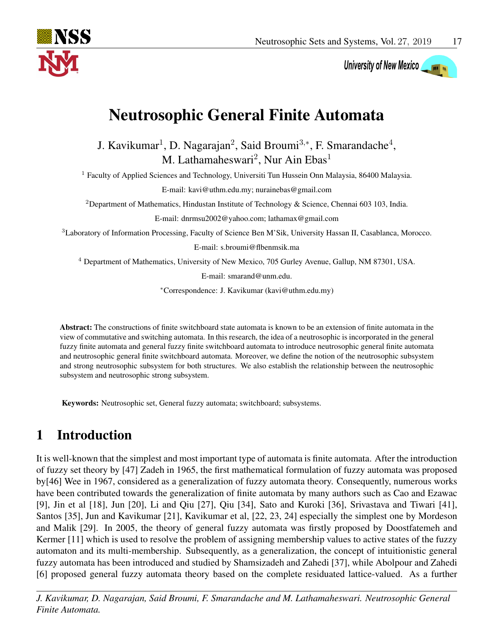

# University of New Mexico

# Neutrosophic General Finite Automata

J. Kavikumar<sup>1</sup>, D. Nagarajan<sup>2</sup>, Said Broumi<sup>3,\*</sup>, F. Smarandache<sup>4</sup>, M. Lathamaheswari<sup>2</sup>, Nur Ain Ebas<sup>1</sup>

<sup>1</sup> Faculty of Applied Sciences and Technology, Universiti Tun Hussein Onn Malaysia, 86400 Malaysia.

E-mail: kavi@uthm.edu.my; nurainebas@gmail.com

<sup>2</sup>Department of Mathematics, Hindustan Institute of Technology & Science, Chennai 603 103, India.

E-mail: dnrmsu2002@yahoo.com; lathamax@gmail.com

<sup>3</sup>Laboratory of Information Processing, Faculty of Science Ben M'Sik, University Hassan II, Casablanca, Morocco.

E-mail: s.broumi@flbenmsik.ma

<sup>4</sup> Department of Mathematics, University of New Mexico, 705 Gurley Avenue, Gallup, NM 87301, USA.

E-mail: smarand@unm.edu.

<sup>∗</sup>Correspondence: J. Kavikumar (kavi@uthm.edu.my)

Abstract: The constructions of finite switchboard state automata is known to be an extension of finite automata in the view of commutative and switching automata. In this research, the idea of a neutrosophic is incorporated in the general fuzzy finite automata and general fuzzy finite switchboard automata to introduce neutrosophic general finite automata and neutrosophic general finite switchboard automata. Moreover, we define the notion of the neutrosophic subsystem and strong neutrosophic subsystem for both structures. We also establish the relationship between the neutrosophic subsystem and neutrosophic strong subsystem.

Keywords: Neutrosophic set, General fuzzy automata; switchboard; subsystems.

# 1 Introduction

It is well-known that the simplest and most important type of automata is finite automata. After the introduction of fuzzy set theory by [\[47\]](#page-19-0) Zadeh in 1965, the first mathematical formulation of fuzzy automata was proposed by[\[46\]](#page-19-1) Wee in 1967, considered as a generalization of fuzzy automata theory. Consequently, numerous works have been contributed towards the generalization of finite automata by many authors such as Cao and Ezawac [\[9\]](#page-17-0), Jin et al [\[18\]](#page-18-0), Jun [\[20\]](#page-18-1), Li and Qiu [\[27\]](#page-18-2), Qiu [\[34\]](#page-19-2), Sato and Kuroki [\[36\]](#page-19-3), Srivastava and Tiwari [\[41\]](#page-19-4), Santos [\[35\]](#page-19-5), Jun and Kavikumar [\[21\]](#page-18-3), Kavikumar et al, [\[22,](#page-18-4) [23,](#page-18-5) [24\]](#page-18-6) especially the simplest one by Mordeson and Malik [\[29\]](#page-18-7). In 2005, the theory of general fuzzy automata was firstly proposed by Doostfatemeh and Kermer [\[11\]](#page-17-1) which is used to resolve the problem of assigning membership values to active states of the fuzzy automaton and its multi-membership. Subsequently, as a generalization, the concept of intuitionistic general fuzzy automata has been introduced and studied by Shamsizadeh and Zahedi [\[37\]](#page-19-6), while Abolpour and Zahedi [\[6\]](#page-17-2) proposed general fuzzy automata theory based on the complete residuated lattice-valued. As a further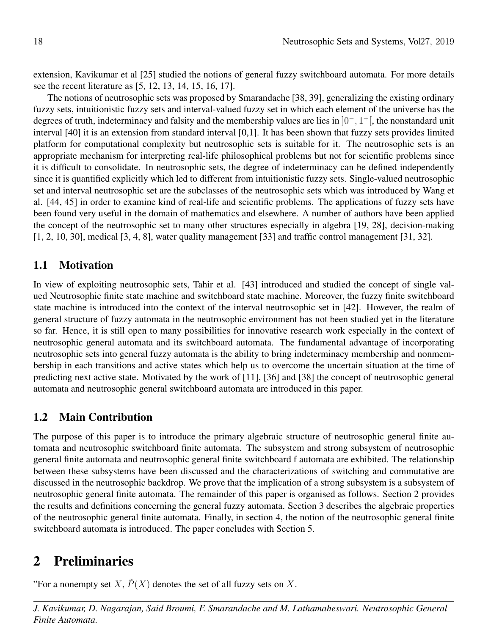extension, Kavikumar et al [\[25\]](#page-18-8) studied the notions of general fuzzy switchboard automata. For more details see the recent literature as [\[5,](#page-17-3) [12,](#page-17-4) [13,](#page-18-9) [14,](#page-18-10) [15,](#page-18-11) [16,](#page-18-12) [17\]](#page-18-13).

The notions of neutrosophic sets was proposed by Smarandache [\[38,](#page-19-7) [39\]](#page-19-8), generalizing the existing ordinary fuzzy sets, intuitionistic fuzzy sets and interval-valued fuzzy set in which each element of the universe has the degrees of truth, indeterminacy and falsity and the membership values are lies in  $]0^-, 1^+]$ , the nonstandard unit interval [\[40\]](#page-19-9) it is an extension from standard interval [0,1]. It has been shown that fuzzy sets provides limited platform for computational complexity but neutrosophic sets is suitable for it. The neutrosophic sets is an appropriate mechanism for interpreting real-life philosophical problems but not for scientific problems since it is difficult to consolidate. In neutrosophic sets, the degree of indeterminacy can be defined independently since it is quantified explicitly which led to different from intuitionistic fuzzy sets. Single-valued neutrosophic set and interval neutrosophic set are the subclasses of the neutrosophic sets which was introduced by Wang et al. [\[44,](#page-19-10) [45\]](#page-19-11) in order to examine kind of real-life and scientific problems. The applications of fuzzy sets have been found very useful in the domain of mathematics and elsewhere. A number of authors have been applied the concept of the neutrosophic set to many other structures especially in algebra [\[19,](#page-18-14) [28\]](#page-18-15), decision-making [\[1,](#page-17-5) [2,](#page-17-6) [10,](#page-17-7) [30\]](#page-18-16), medical [\[3,](#page-17-8) [4,](#page-17-9) [8\]](#page-17-10), water quality management [\[33\]](#page-19-12) and traffic control management [\[31,](#page-19-13) [32\]](#page-19-14).

### 1.1 Motivation

In view of exploiting neutrosophic sets, Tahir et al. [\[43\]](#page-19-15) introduced and studied the concept of single valued Neutrosophic finite state machine and switchboard state machine. Moreover, the fuzzy finite switchboard state machine is introduced into the context of the interval neutrosophic set in [\[42\]](#page-19-16). However, the realm of general structure of fuzzy automata in the neutrosophic environment has not been studied yet in the literature so far. Hence, it is still open to many possibilities for innovative research work especially in the context of neutrosophic general automata and its switchboard automata. The fundamental advantage of incorporating neutrosophic sets into general fuzzy automata is the ability to bring indeterminacy membership and nonmembership in each transitions and active states which help us to overcome the uncertain situation at the time of predicting next active state. Motivated by the work of [\[11\]](#page-17-1), [\[36\]](#page-19-3) and [\[38\]](#page-19-7) the concept of neutrosophic general automata and neutrosophic general switchboard automata are introduced in this paper.

#### 1.2 Main Contribution

The purpose of this paper is to introduce the primary algebraic structure of neutrosophic general finite automata and neutrosophic switchboard finite automata. The subsystem and strong subsystem of neutrosophic general finite automata and neutrosophic general finite switchboard f automata are exhibited. The relationship between these subsystems have been discussed and the characterizations of switching and commutative are discussed in the neutrosophic backdrop. We prove that the implication of a strong subsystem is a subsystem of neutrosophic general finite automata. The remainder of this paper is organised as follows. Section 2 provides the results and definitions concerning the general fuzzy automata. Section 3 describes the algebraic properties of the neutrosophic general finite automata. Finally, in section 4, the notion of the neutrosophic general finite switchboard automata is introduced. The paper concludes with Section 5.

# 2 Preliminaries

<span id="page-1-0"></span>"For a nonempty set X,  $\overline{P}(X)$  denotes the set of all fuzzy sets on X.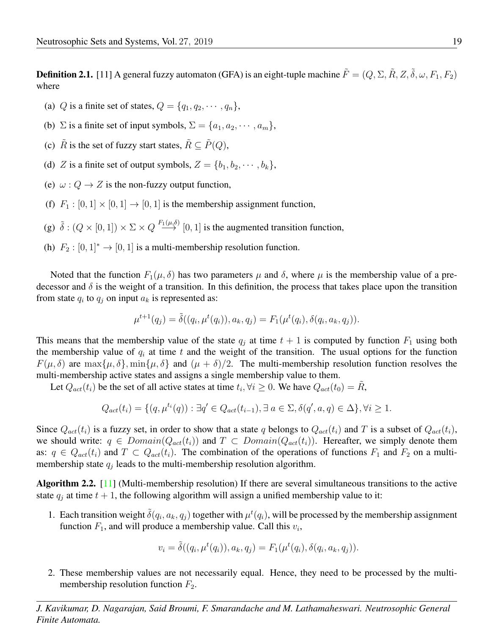**Definition 2.1.** [\[11\]](#page-17-1) A general fuzzy automaton (GFA) is an eight-tuple machine  $\tilde{F} = (Q, \Sigma, \tilde{R}, Z, \tilde{\delta}, \omega, F_1, F_2)$ where

- (a) Q is a finite set of states,  $Q = \{q_1, q_2, \cdots, q_n\}$ ,
- (b)  $\Sigma$  is a finite set of input symbols,  $\Sigma = \{a_1, a_2, \dots, a_m\}$ ,
- (c)  $\tilde{R}$  is the set of fuzzy start states,  $\tilde{R} \subseteq \tilde{P}(Q)$ ,
- (d) Z is a finite set of output symbols,  $Z = \{b_1, b_2, \dots, b_k\},\$
- (e)  $\omega$  :  $Q \rightarrow Z$  is the non-fuzzy output function,
- (f)  $F_1 : [0, 1] \times [0, 1] \rightarrow [0, 1]$  is the membership assignment function,
- (g)  $\tilde{\delta}$  :  $(Q \times [0,1]) \times \Sigma \times Q \stackrel{F_1(\mu,\delta)}{\longrightarrow} [0,1]$  is the augmented transition function,
- (h)  $F_2 : [0, 1]^* \rightarrow [0, 1]$  is a multi-membership resolution function.

Noted that the function  $F_1(\mu, \delta)$  has two parameters  $\mu$  and  $\delta$ , where  $\mu$  is the membership value of a predecessor and  $\delta$  is the weight of a transition. In this definition, the process that takes place upon the transition from state  $q_i$  to  $q_j$  on input  $a_k$  is represented as:

$$
\mu^{t+1}(q_j) = \tilde{\delta}((q_i, \mu^t(q_i)), a_k, q_j) = F_1(\mu^t(q_i), \delta(q_i, a_k, q_j)).
$$

This means that the membership value of the state  $q_j$  at time  $t + 1$  is computed by function  $F_1$  using both the membership value of  $q_i$  at time t and the weight of the transition. The usual options for the function  $F(\mu, \delta)$  are  $\max{\mu, \delta}$ ,  $\min{\mu, \delta}$  and  $(\mu + \delta)/2$ . The multi-membership resolution function resolves the multi-membership active states and assigns a single membership value to them.

Let  $Q_{act}(t_i)$  be the set of all active states at time  $t_i, \forall i \geq 0$ . We have  $Q_{act}(t_0) = \tilde{R}$ ,

$$
Q_{act}(t_i) = \{ (q, \mu^{t_i}(q)) : \exists q' \in Q_{act}(t_{i-1}), \exists a \in \Sigma, \delta(q', a, q) \in \Delta \}, \forall i \ge 1.
$$

Since  $Q_{act}(t_i)$  is a fuzzy set, in order to show that a state q belongs to  $Q_{act}(t_i)$  and T is a subset of  $Q_{act}(t_i)$ , we should write:  $q \in Domain(Q_{act}(t_i))$  and  $T \subset Domain(Q_{act}(t_i))$ . Hereafter, we simply denote them as:  $q \in Q_{act}(t_i)$  and  $T \subset Q_{act}(t_i)$ . The combination of the operations of functions  $F_1$  and  $F_2$  on a multimembership state  $q_j$  leads to the multi-membership resolution algorithm.

Algorithm 2.2. [\[11\]](#page-17-1) (Multi-membership resolution) If there are several simultaneous transitions to the active state  $q_i$  at time  $t + 1$ , the following algorithm will assign a unified membership value to it:

1. Each transition weight  $\tilde{\delta}(q_i, a_k, q_j)$  together with  $\mu^t(q_i)$ , will be processed by the membership assignment function  $F_1$ , and will produce a membership value. Call this  $v_i$ ,

$$
v_i = \tilde{\delta}((q_i, \mu^t(q_i)), a_k, q_j) = F_1(\mu^t(q_i), \delta(q_i, a_k, q_j)).
$$

2. These membership values are not necessarily equal. Hence, they need to be processed by the multimembership resolution function  $F_2$ .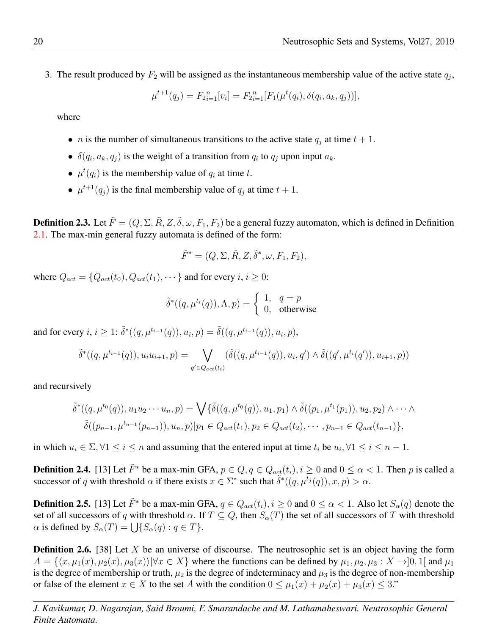<span id="page-3-0"></span>3. The result produced by  $F_2$  will be assigned as the instantaneous membership value of the active state  $q_j$ ,

$$
\mu^{t+1}(q_j) = F_{2i=1}^n[v_i] = F_{2i=1}^n[F_1(\mu^t(q_i), \delta(q_i, a_k, q_j))],
$$

where

- *n* is the number of simultaneous transitions to the active state  $q_j$  at time  $t + 1$ .
- $\delta(q_i, a_k, q_j)$  is the weight of a transition from  $q_i$  to  $q_j$  upon input  $a_k$ .
- $\mu^t(q_i)$  is the membership value of  $q_i$  at time t.
- $\mu^{t+1}(q_j)$  is the final membership value of  $q_j$  at time  $t+1$ .

**Definition 2.3.** Let  $\tilde{F} = (Q, \Sigma, \tilde{R}, Z, \tilde{\delta}, \omega, F_1, F_2)$  be a general fuzzy automaton, which is defined in Definition [2.1.](#page-1-0) The max-min general fuzzy automata is defined of the form:

$$
\tilde{F}^* = (Q, \Sigma, \tilde{R}, Z, \tilde{\delta}^*, \omega, F_1, F_2),
$$

where  $Q_{act} = \{Q_{act}(t_0), Q_{act}(t_1), \dots\}$  and for every  $i, i \geq 0$ :

$$
\tilde{\delta}^*((q,\mu^{t_i}(q)),\Lambda,p)=\left\{\begin{array}{ll} 1, & q=p\\ 0, & \text{otherwise} \end{array}\right.
$$

and for every  $i, i \geq 1$ :  $\tilde{\delta}^*((q, \mu^{t_{i-1}}(q)), u_i, p) = \tilde{\delta}((q, \mu^{t_{i-1}}(q)), u_i, p),$ 

$$
\tilde{\delta}^*((q,\mu^{t_{i-1}}(q)),u_iu_{i+1},p) = \bigvee_{q' \in Q_{act}(t_i)} (\tilde{\delta}((q,\mu^{t_{i-1}}(q)),u_i,q') \wedge \tilde{\delta}((q',\mu^{t_i}(q')),u_{i+1},p))
$$

and recursively

$$
\tilde{\delta}^*((q,\mu^{t_0}(q)), u_1u_2\cdots u_n, p) = \bigvee \{ \tilde{\delta}((q,\mu^{t_0}(q)), u_1, p_1) \wedge \tilde{\delta}((p_1,\mu^{t_1}(p_1)), u_2, p_2) \wedge \cdots \wedge \n\tilde{\delta}((p_{n-1},\mu^{t_{n-1}}(p_{n-1})), u_n, p) | p_1 \in Q_{act}(t_1), p_2 \in Q_{act}(t_2), \cdots, p_{n-1} \in Q_{act}(t_{n-1}) \},
$$

in which  $u_i \in \Sigma$ ,  $\forall 1 \leq i \leq n$  and assuming that the entered input at time  $t_i$  be  $u_i$ ,  $\forall 1 \leq i \leq n-1$ .

**Definition 2.4.** [\[13\]](#page-18-9) Let  $\tilde{F}^*$  be a max-min GFA,  $p \in Q$ ,  $q \in Q_{act}(t_i)$ ,  $i \ge 0$  and  $0 \le \alpha < 1$ . Then p is called a successor of q with threshold  $\alpha$  if there exists  $x \in \Sigma^*$  such that  $\tilde{\delta}^*((q, \mu^{t_j}(q)), x, p) > \alpha$ .

**Definition 2.5.** [\[13\]](#page-18-9) Let  $\tilde{F}^*$  be a max-min GFA,  $q \in Q_{act}(t_i)$ ,  $i \ge 0$  and  $0 \le \alpha < 1$ . Also let  $S_{\alpha}(q)$  denote the set of all successors of q with threshold  $\alpha$ . If  $T \subseteq Q$ , then  $S_{\alpha}(T)$  the set of all successors of T with threshold  $\alpha$  is defined by  $S_{\alpha}(T) = \bigcup \{ S_{\alpha}(q) : q \in T \}.$ 

**Definition 2.6.** [\[38\]](#page-19-7) Let  $X$  be an universe of discourse. The neutrosophic set is an object having the form  $A = \{\langle x, \mu_1(x), \mu_2(x), \mu_3(x)\rangle | \forall x \in X\}$  where the functions can be defined by  $\mu_1, \mu_2, \mu_3 : X \to ]0, 1[$  and  $\mu_1$ is the degree of membership or truth,  $\mu_2$  is the degree of indeterminacy and  $\mu_3$  is the degree of non-membership or false of the element  $x \in X$  to the set A with the condition  $0 \leq \mu_1(x) + \mu_2(x) + \mu_3(x) \leq 3$ ."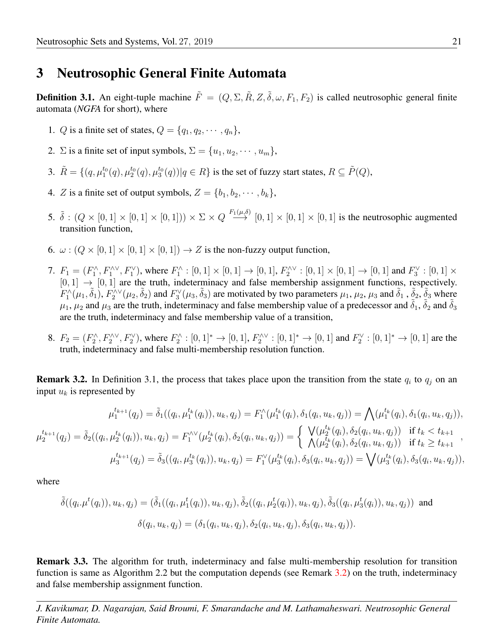#### 3 Neutrosophic General Finite Automata

**Definition 3.1.** An eight-tuple machine  $\tilde{F} = (Q, \Sigma, \tilde{R}, Z, \tilde{\delta}, \omega, F_1, F_2)$  is called neutrosophic general finite automata (*NGFA* for short), where

- 1. Q is a finite set of states,  $Q = \{q_1, q_2, \cdots, q_n\}$ ,
- 2. Σ is a finite set of input symbols,  $\Sigma = \{u_1, u_2, \dots, u_m\},\$
- 3.  $\tilde{R} = \{(q, \mu_1^{t_0}(q), \mu_2^{t_0}(q), \mu_3^{t_0}(q)) | q \in R \}$  is the set of fuzzy start states,  $R \subseteq \tilde{P}(Q)$ ,
- 4. Z is a finite set of output symbols,  $Z = \{b_1, b_2, \dots, b_k\},\$
- 5.  $\delta : (Q \times [0,1] \times [0,1] \times [0,1]) \times \Sigma \times Q \stackrel{F_1(\mu,\delta)}{\longrightarrow} [0,1] \times [0,1] \times [0,1]$  is the neutrosophic augmented transition function,
- 6.  $\omega$ :  $(Q \times [0, 1] \times [0, 1] \times [0, 1]) \rightarrow Z$  is the non-fuzzy output function,
- 7.  $F_1 = (F_1^{\wedge}, F_1^{\wedge \vee}, F_1^{\vee})$ , where  $F_1^{\wedge} : [0,1] \times [0,1] \to [0,1]$ ,  $F_2^{\wedge \vee} : [0,1] \times [0,1] \to [0,1]$  and  $F_3^{\vee} : [0,1] \times [0,1]$  $[0, 1] \rightarrow [0, 1]$  are the truth, indeterminacy and false membership assignment functions, respectively.  $F_1^{\wedge}(\mu_1, \tilde{\delta}_1), F_2^{\wedge \vee}(\mu_2, \tilde{\delta}_2)$  and  $F_3^{\vee}(\mu_3, \tilde{\delta}_3)$  are motivated by two parameters  $\mu_1, \mu_2, \mu_3$  and  $\tilde{\delta}_1$ ,  $\tilde{\delta}_2$ ,  $\tilde{\delta}_3$  where  $\mu_1$ ,  $\mu_2$  and  $\mu_3$  are the truth, indeterminacy and false membership value of a predecessor and  $\tilde{\delta}_1$ ,  $\tilde{\delta}_2$  and  $\tilde{\delta}_3$ are the truth, indeterminacy and false membership value of a transition,
- <span id="page-4-0"></span>8.  $F_2 = (F_2^{\wedge}, F_2^{\wedge \vee}, F_2^{\vee})$ , where  $F_2^{\wedge} : [0,1]^* \to [0,1], F_2^{\wedge \vee} : [0,1]^* \to [0,1]$  and  $F_2^{\vee} : [0,1]^* \to [0,1]$  are the truth, indeterminacy and false multi-membership resolution function.

<span id="page-4-1"></span>**Remark 3.2.** In Definition [3.1,](#page-4-0) the process that takes place upon the transition from the state  $q_i$  to  $q_j$  on an input  $u_k$  is represented by

$$
\mu_1^{t_{k+1}}(q_j) = \tilde{\delta}_1((q_i, \mu_1^{t_k}(q_i)), u_k, q_j) = F_1^{\wedge}(\mu_1^{t_k}(q_i), \delta_1(q_i, u_k, q_j)) = \bigwedge(\mu_1^{t_k}(q_i), \delta_1(q_i, u_k, q_j)),
$$
  

$$
\mu_2^{t_{k+1}}(q_j) = \tilde{\delta}_2((q_i, \mu_2^{t_k}(q_i)), u_k, q_j) = F_1^{\wedge \vee}(\mu_2^{t_k}(q_i), \delta_2(q_i, u_k, q_j)) = \begin{cases} \bigvee(\mu_2^{t_k}(q_i), \delta_2(q_i, u_k, q_j)) & \text{if } t_k < t_{k+1} \\ \bigwedge(\mu_2^{t_k}(q_i), \delta_2(q_i, u_k, q_j)) & \text{if } t_k \ge t_{k+1} \end{cases},
$$
  

$$
\mu_3^{t_{k+1}}(q_j) = \tilde{\delta}_3((q_i, \mu_3^{t_k}(q_i)), u_k, q_j) = F_1^{\vee}(\mu_3^{t_k}(q_i), \delta_3(q_i, u_k, q_j)) = \bigvee(\mu_3^{t_k}(q_i), \delta_3(q_i, u_k, q_j)),
$$

where

$$
\tilde{\delta}((q_i.\mu^t(q_i)), u_k, q_j) = (\tilde{\delta}_1((q_i, \mu_1^t(q_i)), u_k, q_j), \tilde{\delta}_2((q_i, \mu_2^t(q_i)), u_k, q_j), \tilde{\delta}_3((q_i, \mu_3^t(q_i)), u_k, q_j))
$$
 and  

$$
\delta(q_i, u_k, q_j) = (\delta_1(q_i, u_k, q_j), \delta_2(q_i, u_k, q_j), \delta_3(q_i, u_k, q_j)).
$$

Remark 3.3. The algorithm for truth, indeterminacy and false multi-membership resolution for transition function is same as Algorithm [2.2](#page-3-0) but the computation depends (see Remark [3.2\)](#page-4-1) on the truth, indeterminacy and false membership assignment function.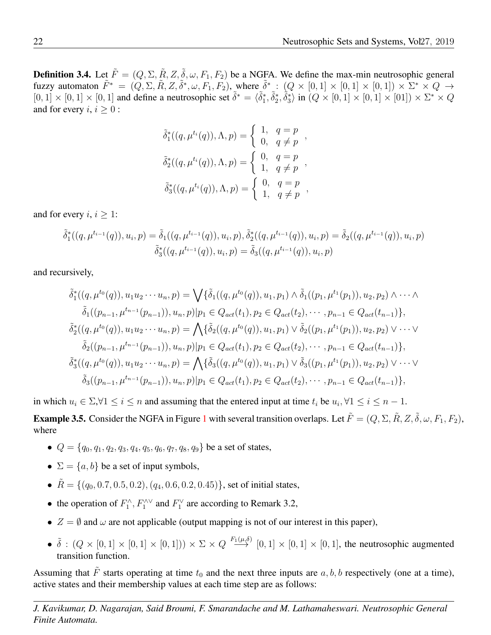**Definition 3.4.** Let  $\tilde{F} = (Q, \Sigma, \tilde{R}, Z, \tilde{\delta}, \omega, F_1, F_2)$  be a NGFA. We define the max-min neutrosophic general fuzzy automaton  $\tilde{F}^* = (Q, \Sigma, \tilde{R}, Z, \tilde{\delta}^*, \omega, F_1, F_2)$ , where  $\tilde{\delta}^* : (Q \times [0, 1] \times [0, 1] \times [0, 1]) \times \Sigma^* \times Q \rightarrow$  $[0,1] \times [0,1] \times [0,1]$  and define a neutrosophic set  $\tilde{\delta}^* = \langle \tilde{\delta}_1^*, \tilde{\delta}_2^*, \tilde{\delta}_3^* \rangle$  in  $(Q \times [0,1] \times [0,1] \times [0,1]) \times \Sigma^* \times Q$ and for every  $i, i \geq 0$ :

$$
\tilde{\delta}_1^*((q, \mu^{t_i}(q)), \Lambda, p) = \begin{cases} 1, & q = p \\ 0, & q \neq p \end{cases},
$$
  

$$
\tilde{\delta}_2^*((q, \mu^{t_i}(q)), \Lambda, p) = \begin{cases} 0, & q = p \\ 1, & q \neq p \end{cases},
$$
  

$$
\tilde{\delta}_3^*((q, \mu^{t_i}(q)), \Lambda, p) = \begin{cases} 0, & q = p \\ 1, & q \neq p \end{cases},
$$

and for every  $i, i \geq 1$ :

$$
\tilde{\delta}_1^*((q,\mu^{t_{i-1}}(q)),u_i,p) = \tilde{\delta}_1((q,\mu^{t_{i-1}}(q)),u_i,p), \tilde{\delta}_2^*((q,\mu^{t_{i-1}}(q)),u_i,p) = \tilde{\delta}_2((q,\mu^{t_{i-1}}(q)),u_i,p) \tilde{\delta}_3^*((q,\mu^{t_{i-1}}(q)),u_i,p) = \tilde{\delta}_3((q,\mu^{t_{i-1}}(q)),u_i,p)
$$

and recursively,

$$
\tilde{\delta}_{1}^{*}((q, \mu^{t_{0}}(q)), u_{1}u_{2} \cdots u_{n}, p) = \bigvee \{ \tilde{\delta}_{1}((q, \mu^{t_{0}}(q)), u_{1}, p_{1}) \wedge \tilde{\delta}_{1}((p_{1}, \mu^{t_{1}}(p_{1})), u_{2}, p_{2}) \wedge \cdots \wedge \n\tilde{\delta}_{1}((p_{n-1}, \mu^{t_{n-1}}(p_{n-1})), u_{n}, p) | p_{1} \in Q_{act}(t_{1}), p_{2} \in Q_{act}(t_{2}), \cdots, p_{n-1} \in Q_{act}(t_{n-1}) \},
$$
\n
$$
\tilde{\delta}_{2}^{*}((q, \mu^{t_{0}}(q)), u_{1}u_{2} \cdots u_{n}, p) = \bigwedge \{ \tilde{\delta}_{2}((q, \mu^{t_{0}}(q)), u_{1}, p_{1}) \vee \tilde{\delta}_{2}((p_{1}, \mu^{t_{1}}(p_{1})), u_{2}, p_{2}) \vee \cdots \vee \n\tilde{\delta}_{2}((p_{n-1}, \mu^{t_{n-1}}(p_{n-1})), u_{n}, p) | p_{1} \in Q_{act}(t_{1}), p_{2} \in Q_{act}(t_{2}), \cdots, p_{n-1} \in Q_{act}(t_{n-1}) \},
$$
\n
$$
\tilde{\delta}_{3}^{*}((q, \mu^{t_{0}}(q)), u_{1}u_{2} \cdots u_{n}, p) = \bigwedge \{ \tilde{\delta}_{3}((q, \mu^{t_{0}}(q)), u_{1}, p_{1}) \vee \tilde{\delta}_{3}((p_{1}, \mu^{t_{1}}(p_{1})), u_{2}, p_{2}) \vee \cdots \vee \n\tilde{\delta}_{3}((p_{n-1}, \mu^{t_{n-1}}(p_{n-1})), u_{n}, p) | p_{1} \in Q_{act}(t_{1}), p_{2} \in Q_{act}(t_{2}), \cdots, p_{n-1} \in Q_{act}(t_{n-1}) \},
$$

in which  $u_i \in \Sigma$ , $\forall 1 \le i \le n$  and assuming that the entered input at time  $t_i$  be  $u_i$ ,  $\forall 1 \le i \le n-1$ .

**Example 3.5.** Consider the NGFA in Figure [1](#page-6-0) with several transition overlaps. Let  $\tilde{F} = (Q, \Sigma, \tilde{R}, Z, \tilde{\delta}, \omega, F_1, F_2)$ , where

- $Q = \{q_0, q_1, q_2, q_3, q_4, q_5, q_6, q_7, q_8, q_9\}$  be a set of states,
- $\Sigma = \{a, b\}$  be a set of input symbols,
- $\tilde{R} = \{(q_0, 0.7, 0.5, 0.2), (q_4, 0.6, 0.2, 0.45)\}\text{, set of initial states, }$
- the operation of  $F_1^{\wedge}, F_1^{\wedge \vee}$  and  $F_1^{\vee}$  are according to Remark [3.2,](#page-4-1)
- $Z = \emptyset$  and  $\omega$  are not applicable (output mapping is not of our interest in this paper),
- $\delta : (Q \times [0,1] \times [0,1] \times [0,1])) \times \Sigma \times Q \stackrel{F_1(\mu,\delta)}{\longrightarrow} [0,1] \times [0,1] \times [0,1]$ , the neutrosophic augmented transition function.

Assuming that  $\tilde{F}$  starts operating at time  $t_0$  and the next three inputs are  $a, b, b$  respectively (one at a time), active states and their membership values at each time step are as follows: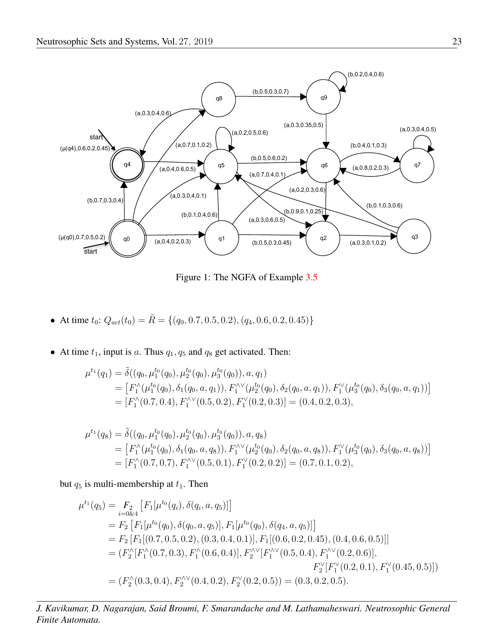

<span id="page-6-0"></span>Figure 1: The NGFA of Example [3.5](#page-6-0)

- At time  $t_0$ :  $Q_{act}(t_0) = \tilde{R} = \{(q_0, 0.7, 0.5, 0.2), (q_4, 0.6, 0.2, 0.45)\}\$
- At time  $t_1$ , input is a. Thus  $q_1$ ,  $q_5$  and  $q_8$  get activated. Then:

$$
\mu^{t_1}(q_1) = \tilde{\delta}((q_0, \mu_1^{t_0}(q_0), \mu_2^{t_0}(q_0), \mu_3^{t_0}(q_0)), a, q_1)
$$
  
= 
$$
\left[F_1^\wedge(\mu_1^{t_0}(q_0), \delta_1(q_0, a, q_1)), F_1^\wedge(\mu_2^{t_0}(q_0), \delta_2(q_0, a, q_1)), F_1^\vee(\mu_3^{t_0}(q_0), \delta_3(q_0, a, q_1))\right]
$$
  
= 
$$
\left[F_1^\wedge(0.7, 0.4), F_1^\wedge(0.5, 0.2), F_1^\vee(0.2, 0.3)\right] = (0.4, 0.2, 0.3),
$$

$$
\mu^{t_1}(q_8) = \tilde{\delta}((q_0, \mu_1^{t_0}(q_0), \mu_2^{t_0}(q_0), \mu_3^{t_0}(q_0)), a, q_8)
$$
  
= 
$$
[F_1^\wedge(\mu_1^{t_0}(q_0), \delta_1(q_0, a, q_8)), F_1^\wedge(\mu_2^{t_0}(q_0), \delta_2(q_0, a, q_8)), F_1^\vee(\mu_3^{t_0}(q_0), \delta_3(q_0, a, q_8))]
$$
  
= 
$$
[F_1^\wedge(0.7, 0.7), F_1^\wedge(0.5, 0.1), F_1^\vee(0.2, 0.2)] = (0.7, 0.1, 0.2),
$$

but  $q_5$  is multi-membership at  $t_1$ . Then

$$
\mu^{t_1}(q_5) = F_2 [F_1[\mu^{t_0}(q_0), \delta(q_i, a, q_5)]]
$$
  
\n
$$
= F_2 [F_1[\mu^{t_0}(q_0), \delta(q_0, a, q_5)], F_1[\mu^{t_0}(q_0), \delta(q_4, a, q_5)]]
$$
  
\n
$$
= F_2 [F_1[(0.7, 0.5, 0.2), (0.3, 0.4, 0.1)], F_1[(0.6, 0.2, 0.45), (0.4, 0.6, 0.5)]]
$$
  
\n
$$
= (F_2^{\wedge}[F_1^{\wedge}(0.7, 0.3), F_1^{\wedge}(0.6, 0.4)], F_2^{\wedge\vee}[F_1^{\wedge\vee}(0.5, 0.4), F_1^{\wedge\vee}(0.2, 0.6)],
$$
  
\n
$$
F_2^{\vee}[F_1^{\vee}(0.2, 0.1), F_1^{\vee}(0.45, 0.5)])
$$
  
\n
$$
= (F_2^{\wedge}(0.3, 0.4), F_2^{\wedge\vee}(0.4, 0.2), F_2^{\vee}(0.2, 0.5)) = (0.3, 0.2, 0.5).
$$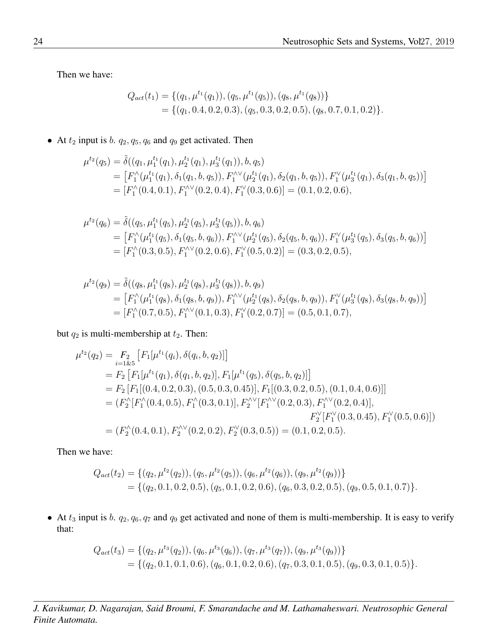Then we have:

$$
Q_{act}(t_1) = \{ (q_1, \mu^{t_1}(q_1)), (q_5, \mu^{t_1}(q_5)), (q_8, \mu^{t_1}(q_8)) \}
$$
  
= \{ (q\_1, 0.4, 0.2, 0.3), (q\_5, 0.3, 0.2, 0.5), (q\_8, 0.7, 0.1, 0.2) \}.

• At  $t_2$  input is b.  $q_2$ ,  $q_5$ ,  $q_6$  and  $q_9$  get activated. Then

$$
\mu^{t_2}(q_5) = \tilde{\delta}((q_1, \mu_1^{t_1}(q_1), \mu_2^{t_1}(q_1), \mu_3^{t_1}(q_1)), b, q_5)
$$
  
= 
$$
\left[F_1^\wedge(\mu_1^{t_1}(q_1), \delta_1(q_1, b, q_5)), F_1^\wedge(\mu_2^{t_1}(q_1), \delta_2(q_1, b, q_5)), F_1^\vee(\mu_3^{t_1}(q_1), \delta_3(q_1, b, q_5))\right]
$$
  
= 
$$
\left[F_1^\wedge(0.4, 0.1), F_1^\wedge(0.2, 0.4), F_1^\vee(0.3, 0.6)\right] = (0.1, 0.2, 0.6),
$$

$$
\mu^{t_2}(q_6) = \tilde{\delta}((q_5, \mu_1^{t_1}(q_5), \mu_2^{t_1}(q_5), \mu_3^{t_1}(q_5)), b, q_6)
$$
  
= 
$$
\left[F_1^\wedge(\mu_1^{t_1}(q_5), \delta_1(q_5, b, q_6)), F_1^\wedge(\mu_2^{t_1}(q_5), \delta_2(q_5, b, q_6)), F_1^\vee(\mu_3^{t_1}(q_5), \delta_3(q_5, b, q_6))\right]
$$
  
= 
$$
\left[F_1^\wedge(0.3, 0.5), F_1^\wedge(0.2, 0.6), F_1^\vee(0.5, 0.2)\right] = (0.3, 0.2, 0.5),
$$

$$
\mu^{t_2}(q_9) = \tilde{\delta}((q_8, \mu_1^{t_1}(q_8), \mu_2^{t_1}(q_8), \mu_3^{t_1}(q_8)), b, q_9) \n= \left[F_1^\wedge(\mu_1^{t_1}(q_8), \delta_1(q_8, b, q_9)), F_1^\wedge(\mu_2^{t_1}(q_8), \delta_2(q_8, b, q_9)), F_1^\vee(\mu_3^{t_1}(q_8), \delta_3(q_8, b, q_9))\right] \n= \left[F_1^\wedge(0.7, 0.5), F_1^\wedge(0.1, 0.3), F_1^\vee(0.2, 0.7)\right] = (0.5, 0.1, 0.7),
$$

but  $q_2$  is multi-membership at  $t_2$ . Then:

$$
\mu^{t_2}(q_2) = F_2 [F_1[\mu^{t_1}(q_1), \delta(q_1, b, q_2)]]
$$
  
\n
$$
= F_2 [F_1[\mu^{t_1}(q_1), \delta(q_1, b, q_2)], F_1[\mu^{t_1}(q_5), \delta(q_5, b, q_2)]]
$$
  
\n
$$
= F_2 [F_1[(0.4, 0.2, 0.3), (0.5, 0.3, 0.45)], F_1[(0.3, 0.2, 0.5), (0.1, 0.4, 0.6)]]
$$
  
\n
$$
= (F_2^{\wedge}[F_1^{\wedge}(0.4, 0.5), F_1^{\wedge}(0.3, 0.1)], F_2^{\wedge\vee}[F_1^{\wedge\vee}(0.2, 0.3), F_1^{\wedge\vee}(0.2, 0.4)],
$$
  
\n
$$
F_2^{\vee}[F_1^{\vee}(0.3, 0.45), F_1^{\vee}(0.5, 0.6)])
$$
  
\n
$$
= (F_2^{\wedge}(0.4, 0.1), F_2^{\wedge\vee}(0.2, 0.2), F_2^{\vee}(0.3, 0.5)) = (0.1, 0.2, 0.5).
$$

Then we have:

$$
Q_{act}(t_2) = \{ (q_2, \mu^{t_2}(q_2)), (q_5, \mu^{t_2}(q_5)), (q_6, \mu^{t_2}(q_6)), (q_9, \mu^{t_2}(q_9)) \} = \{ (q_2, 0.1, 0.2, 0.5), (q_5, 0.1, 0.2, 0.6), (q_6, 0.3, 0.2, 0.5), (q_9, 0.5, 0.1, 0.7) \}.
$$

• At  $t_3$  input is b.  $q_2$ ,  $q_6$ ,  $q_7$  and  $q_9$  get activated and none of them is multi-membership. It is easy to verify that:

$$
Q_{act}(t_3) = \{ (q_2, \mu^{t_3}(q_2)), (q_6, \mu^{t_3}(q_6)), (q_7, \mu^{t_3}(q_7)), (q_9, \mu^{t_3}(q_9)) \}
$$
  
=  $\{ (q_2, 0.1, 0.1, 0.6), (q_6, 0.1, 0.2, 0.6), (q_7, 0.3, 0.1, 0.5), (q_9, 0.3, 0.1, 0.5) \}.$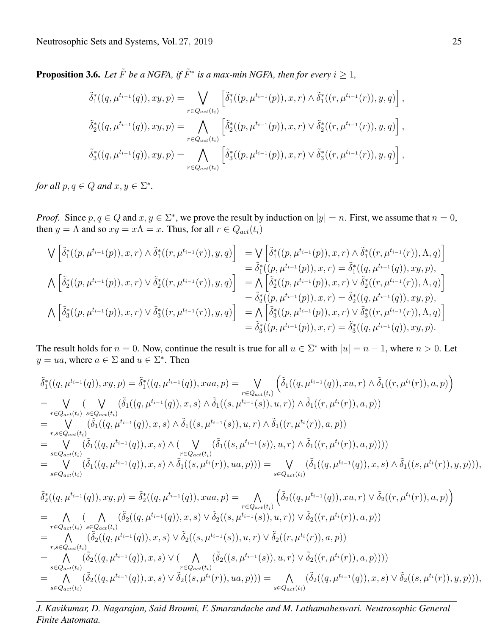**Proposition 3.6.** Let  $\tilde{F}$  be a NGFA, if  $\tilde{F}^*$  is a max-min NGFA, then for every  $i \geq 1$ ,

$$
\tilde{\delta}_{1}^{*}((q, \mu^{t_{i-1}}(q)), xy, p) = \bigvee_{r \in Q_{act}(t_{i})} \left[ \tilde{\delta}_{1}^{*}((p, \mu^{t_{i-1}}(p)), x, r) \wedge \tilde{\delta}_{1}^{*}((r, \mu^{t_{i-1}}(r)), y, q) \right],
$$
  

$$
\tilde{\delta}_{2}^{*}((q, \mu^{t_{i-1}}(q)), xy, p) = \bigwedge_{r \in Q_{act}(t_{i})} \left[ \tilde{\delta}_{2}^{*}((p, \mu^{t_{i-1}}(p)), x, r) \vee \tilde{\delta}_{2}^{*}((r, \mu^{t_{i-1}}(r)), y, q) \right],
$$
  

$$
\tilde{\delta}_{3}^{*}((q, \mu^{t_{i-1}}(q)), xy, p) = \bigwedge_{r \in Q_{act}(t_{i})} \left[ \tilde{\delta}_{3}^{*}((p, \mu^{t_{i-1}}(p)), x, r) \vee \tilde{\delta}_{3}^{*}((r, \mu^{t_{i-1}}(r)), y, q) \right],
$$

*for all*  $p, q \in Q$  *and*  $x, y \in \Sigma^*$ *.* 

*Proof.* Since  $p, q \in Q$  and  $x, y \in \Sigma^*$ , we prove the result by induction on  $|y| = n$ . First, we assume that  $n = 0$ , then  $y = \Lambda$  and so  $xy = x\Lambda = x$ . Thus, for all  $r \in Q_{act}(t_i)$ 

$$
\begin{aligned}\n\bigvee \left[ \tilde{\delta}_{1}^{*}((p,\mu^{t_{i-1}}(p)),x,r) \wedge \tilde{\delta}_{1}^{*}((r,\mu^{t_{i-1}}(r)),y,q) \right] &= \bigvee \left[ \tilde{\delta}_{1}^{*}((p,\mu^{t_{i-1}}(p)),x,r) \wedge \tilde{\delta}_{1}^{*}((r,\mu^{t_{i-1}}(r)),\Lambda,q) \right] \\
&= \tilde{\delta}_{1}^{*}((p,\mu^{t_{i-1}}(p)),x,r) = \tilde{\delta}_{1}^{*}((q,\mu^{t_{i-1}}(q)),xy,p), \\
\bigwedge \left[ \tilde{\delta}_{2}^{*}((p,\mu^{t_{i-1}}(p)),x,r) \vee \tilde{\delta}_{2}^{*}((r,\mu^{t_{i-1}}(r)),y,q) \right] &= \bigwedge \left[ \tilde{\delta}_{2}^{*}((p,\mu^{t_{i-1}}(p)),x,r) \vee \tilde{\delta}_{2}^{*}((r,\mu^{t_{i-1}}(r)),\Lambda,q) \right] \\
&= \tilde{\delta}_{2}^{*}((p,\mu^{t_{i-1}}(p)),x,r) \vee \tilde{\delta}_{2}^{*}((r,\mu^{t_{i-1}}(r)),y,q) \\
&= \tilde{\delta}_{2}^{*}((p,\mu^{t_{i-1}}(p)),x,r) = \tilde{\delta}_{2}^{*}((q,\mu^{t_{i-1}}(q)),xy,p), \\
&= \tilde{\delta}_{3}^{*}((p,\mu^{t_{i-1}}(p)),x,r) \vee \tilde{\delta}_{3}^{*}((r,\mu^{t_{i-1}}(p)),x,p) \\
&= \tilde{\delta}_{3}^{*}((p,\mu^{t_{i-1}}(p)),x,r) = \tilde{\delta}_{3}^{*}((q,\mu^{t_{i-1}}(q)),xy,p).\n\end{aligned}
$$

The result holds for  $n = 0$ . Now, continue the result is true for all  $u \in \Sigma^*$  with  $|u| = n - 1$ , where  $n > 0$ . Let  $y = ua$ , where  $a \in \Sigma$  and  $u \in \Sigma^*$ . Then

$$
\tilde{\delta}_{1}^{*}((q, \mu^{t_{i-1}}(q)), xy, p) = \tilde{\delta}_{1}^{*}((q, \mu^{t_{i-1}}(q)), xua, p) = \bigvee_{r \in Q_{act}(t_{i})} \left( \tilde{\delta}_{1}((q, \mu^{t_{i-1}}(q)), xu, r) \wedge \tilde{\delta}_{1}((r, \mu^{t_{i}}(r)), a, p) \right)
$$
\n
$$
= \bigvee_{r \in Q_{act}(t_{i})} \bigvee_{s \in Q_{act}(t_{i})} \left( \tilde{\delta}_{1}((q, \mu^{t_{i-1}}(q)), x, s) \wedge \tilde{\delta}_{1}((s, \mu^{t_{i-1}}(s)), u, r)) \wedge \tilde{\delta}_{1}((r, \mu^{t_{i}}(r)), a, p) \right)
$$
\n
$$
= \bigvee_{r,s \in Q_{act}(t_{i})} \left( \tilde{\delta}_{1}((q, \mu^{t_{i-1}}(q)), x, s) \wedge \tilde{\delta}_{1}((s, \mu^{t_{i-1}}(s)), u, r) \wedge \tilde{\delta}_{1}((r, \mu^{t_{i}}(r)), a, p) \right)
$$
\n
$$
= \bigvee_{s \in Q_{act}(t_{i})} \left( \tilde{\delta}_{1}((q, \mu^{t_{i-1}}(q)), x, s) \wedge \left( \bigvee_{r \in Q_{act}(t_{i})} \left( \tilde{\delta}_{1}((s, \mu^{t_{i-1}}(s)), u, r) \wedge \tilde{\delta}_{1}((r, \mu^{t_{i}}(r)), a, p) \right) \right) \right)
$$
\n
$$
= \bigvee_{s \in Q_{act}(t_{i})} \left( \tilde{\delta}_{1}((q, \mu^{t_{i-1}}(q)), x, s) \wedge \tilde{\delta}_{1}((s, \mu^{t_{i}}(r)), ua, p) \right) \right) = \bigvee_{s \in Q_{act}(t_{i})} \left( \tilde{\delta}_{1}((q, \mu^{t_{i-1}}(q)), x, s) \wedge \tilde{\delta}_{1}((s, \mu^{t_{i}}(r)), y, p) \right),
$$

$$
\begin{split}\n\tilde{\delta}^{*}_{2}((q, \mu^{t_{i-1}}(q)), xy, p) &= \tilde{\delta}^{*}_{2}((q, \mu^{t_{i-1}}(q)), xua, p) = \bigwedge_{r \in Q_{act}(t_i)} \left( \tilde{\delta}_{2}((q, \mu^{t_{i-1}}(q)), xu, r) \vee \tilde{\delta}_{2}((r, \mu^{t_i}(r)), a, p) \right) \\
&= \bigwedge_{r \in Q_{act}(t_i)} \bigwedge_{s \in Q_{act}(t_i)} \tilde{\delta}_{2}((q, \mu^{t_{i-1}}(q)), x, s) \vee \tilde{\delta}_{2}((s, \mu^{t_{i-1}}(s)), u, r)) \vee \tilde{\delta}_{2}((r, \mu^{t_i}(r)), a, p)) \\
&= \bigwedge_{r, s \in Q_{act}(t_i)} \tilde{\delta}_{2}((q, \mu^{t_{i-1}}(q)), x, s) \vee \tilde{\delta}_{2}((s, \mu^{t_{i-1}}(s)), u, r) \vee \tilde{\delta}_{2}((r, \mu^{t_i}(r)), a, p)) \\
&= \bigwedge_{s \in Q_{act}(t_i)} \tilde{\delta}_{2}((q, \mu^{t_{i-1}}(q)), x, s) \vee \bigwedge_{r \in Q_{act}(t_i)} \tilde{\delta}_{2}((s, \mu^{t_{i-1}}(s)), u, r) \vee \tilde{\delta}_{2}((r, \mu^{t_i}(r)), a, p)))\big) \\
&= \bigwedge_{s \in Q_{act}(t_i)} \tilde{\delta}_{2}((q, \mu^{t_{i-1}}(q)), x, s) \vee \tilde{\delta}_{2}((s, \mu^{t_i}(r)), ua, p))) \\
&= \bigwedge_{s \in Q_{act}(t_i)} \tilde{\delta}_{2}((q, \mu^{t_{i-1}}(q)), x, s) \vee \tilde{\delta}_{2}((s, \mu^{t_i}(r)), ua, p)))\big) = \bigwedge_{s \in Q_{act}(t_i)} \tilde{\delta}_{2}((q, \mu^{t_{i-1}}(q)), x, s) \vee \tilde{\delta}_{2}((s, \mu^{t_i}(r)), y, p))), \\
\end{split}
$$

*J. Kavikumar, D. Nagarajan, Said Broumi, F. Smarandache and M. Lathamaheswari. Neutrosophic General Finite Automata.*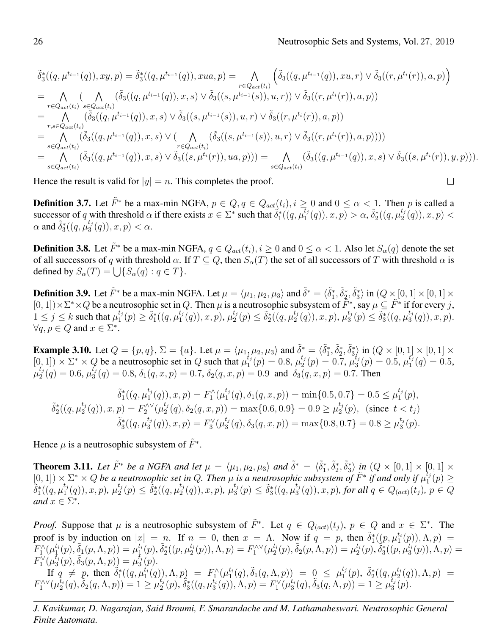$\Box$ 

$$
\tilde{\delta}_{3}^{*}((q, \mu^{t_{i-1}}(q)), xy, p) = \tilde{\delta}_{3}^{*}((q, \mu^{t_{i-1}}(q)), xua, p) = \bigwedge_{r \in Q_{act}(t_{i})} \left( \tilde{\delta}_{3}((q, \mu^{t_{i-1}}(q)), xu, r) \vee \tilde{\delta}_{3}((r, \mu^{t_{i}}(r)), a, p) \right)
$$
\n
$$
= \bigwedge_{r \in Q_{act}(t_{i})} \bigwedge_{s \in Q_{act}(t_{i})} (\tilde{\delta}_{3}((q, \mu^{t_{i-1}}(q)), x, s) \vee \tilde{\delta}_{3}((s, \mu^{t_{i-1}}(s)), u, r)) \vee \tilde{\delta}_{3}((r, \mu^{t_{i}}(r)), a, p))
$$
\n
$$
= \bigwedge_{r,s \in Q_{act}(t_{i})} (\tilde{\delta}_{3}((q, \mu^{t_{i-1}}(q)), x, s) \vee \tilde{\delta}_{3}((s, \mu^{t_{i-1}}(s)), u, r) \vee \tilde{\delta}_{3}((r, \mu^{t_{i}}(r)), a, p))
$$
\n
$$
= \bigwedge_{s \in Q_{act}(t_{i})} (\tilde{\delta}_{3}((q, \mu^{t_{i-1}}(q)), x, s) \vee (\bigwedge_{r \in Q_{act}(t_{i})} (\tilde{\delta}_{3}((s, \mu^{t_{i-1}}(s)), u, r) \vee \tilde{\delta}_{3}((r, \mu^{t_{i}}(r)), a, p))))
$$
\n
$$
= \bigwedge_{s \in Q_{act}(t_{i})} (\tilde{\delta}_{3}((q, \mu^{t_{i-1}}(q)), x, s) \vee \tilde{\delta}_{3}((s, \mu^{t_{i}}(r)), ua, p))) = \bigwedge_{s \in Q_{act}(t_{i})} (\tilde{\delta}_{3}((q, \mu^{t_{i-1}}(q)), x, s) \vee \tilde{\delta}_{3}((s, \mu^{t_{i}}(r)), y, p))).
$$

Hence the result is valid for  $|y| = n$ . This completes the proof.

**Definition 3.7.** Let  $\tilde{F}^*$  be a max-min NGFA,  $p \in Q$ ,  $q \in Q_{act}(t_i)$ ,  $i \ge 0$  and  $0 \le \alpha < 1$ . Then p is called a successor of q with threshold  $\alpha$  if there exists  $x \in \Sigma^*$  such that  $\tilde{\delta}_1^*((q, \mu_1^{t_1})$  $\lambda_1^{t_j}(q)$ ,  $x, p$ ) >  $\alpha$ ,  $\tilde{\delta}_2^*$ ( $(q, \mu_2^{t_j})$  $\binom{\iota_j}{2}(q), x, p$  <  $\alpha$  and  $\tilde{\delta}_{3}^{*}((q, \mu_{3}^{t_j}))$  $_{3}^{\iota_{j}}(q)),x,p)<\alpha.$ 

**Definition 3.8.** Let  $\tilde{F}^*$  be a max-min NGFA,  $q \in Q_{act}(t_i)$ ,  $i \ge 0$  and  $0 \le \alpha < 1$ . Also let  $S_\alpha(q)$  denote the set of all successors of q with threshold  $\alpha$ . If  $T \subseteq Q$ , then  $S_{\alpha}(T)$  the set of all successors of T with threshold  $\alpha$  is defined by  $S_{\alpha}(T) = \bigcup \{ S_{\alpha}(q) : q \in T \}.$ 

**Definition 3.9.** Let  $\tilde{F}^*$  be a max-min NGFA. Let  $\mu = \langle \mu_1, \mu_2, \mu_3 \rangle$  and  $\tilde{\delta}^* = \langle \tilde{\delta}_1^*, \tilde{\delta}_2^*, \tilde{\delta}_3^* \rangle$  in  $(Q \times [0, 1] \times [0, 1] \times$  $[0,1] \times \Sigma^* \times Q$  be a neutrosophic set in Q. Then  $\mu$  is a neutrosophic subsystem of  $\tilde{F}^*$ , say  $\mu \subseteq \tilde{F}^*$  if for every j,  $1 \leq j \leq k$  such that  $\mu_1^{t_j}$  $t_j(p) \geq \tilde{\delta}_1^*((q,\mu_1^{t_j}))$  $\overline{\Pi}_1^{t_j}(q)), x, p), \, \mu_2^{t_j}$  $\frac{t_j}{2}(p) \leq \tilde{\delta}_2^* \left( (q, \mu_2^{t_j}) \right)$  $\mu^{t_j}_2(q)), x, p), \mu^{t_j}_3$  $\frac{t_j}{3}(p) \leq \tilde{\delta}_3^*$  $((q, \mu_3^{t_j}))$  $_{3}^{\iota_{j}}(q)),x,p).$  $\forall q, p \in Q \text{ and } x \in \Sigma^*$ .

**Example 3.10.** Let  $Q = \{p, q\}$ ,  $\Sigma = \{a\}$ . Let  $\mu = \langle \mu_1, \mu_2, \mu_3 \rangle$  and  $\tilde{\delta}_i^* = \langle \tilde{\delta}_1^*, \tilde{\delta}_2^*, \tilde{\delta}_3^* \rangle$  in  $(Q \times [0, 1] \times [0, 1] \times [0, 1])$  $[0, 1]$   $\times \Sigma^* \times Q$  be a neutrosophic set in Q such that  $\mu_1^{t_j}$  $t_j^i(p) = 0.8, \mu_2^{t_j}$  $\chi_2^{t_j}(p) = 0.7, \, \mu_3^{t_j}$  $t_j(p) = 0.5, \mu_1^{t_j}$  $j'_{1}(q) = 0.5,$  $\mu_2^{t_j}$  $\chi_2^{t_j}(q) = 0.6, \mu_3^{t_j}$  $\delta_3^3(q) = 0.8, \delta_1(q, x, p) = 0.7, \delta_2(q, x, p) = 0.9$  and  $\delta_3(q, x, p) = 0.7$ . Then

$$
\tilde{\delta}_1^*((q, \mu_1^{t_j}(q)), x, p) = F_1^{\wedge}(\mu_1^{t_j}(q), \delta_1(q, x, p)) = \min\{0.5, 0.7\} = 0.5 \le \mu_1^{t_j}(p), \n\tilde{\delta}_2^*((q, \mu_2^{t_j}(q)), x, p) = F_2^{\wedge \vee}(\mu_2^{t_j}(q), \delta_2(q, x, p)) = \max\{0.6, 0.9\} = 0.9 \ge \mu_2^{t_j}(p), \text{ (since } t < t_j) \n\tilde{\delta}_3^*((q, \mu_3^{t_j}(q)), x, p) = F_3^{\vee}(\mu_3^{t_j}(q), \delta_3(q, x, p)) = \max\{0.8, 0.7\} = 0.8 \ge \mu_3^{t_j}(p).
$$

Hence  $\mu$  is a neutrosophic subsystem of  $\tilde{F}^*$ .

<span id="page-9-0"></span>**Theorem 3.11.** Let  $\tilde{F}^*$  be a NGFA and let  $\mu = \langle \mu_1, \mu_2, \mu_3 \rangle$  and  $\tilde{\delta}^* = \langle \tilde{\delta}_1^*, \tilde{\delta}_2^*, \tilde{\delta}_3^* \rangle$  in  $(Q \times [0, 1] \times [0, 1] \times$  $[0,1]$   $\times$   $\Sigma^*$   $\times$  Q *be a neutrosophic set in* Q. Then  $\mu$  *is a neutrosophic subsystem of*  $\tilde{F}^*$  *if and only if*  $\mu_1^{\tilde{t}_1}$  $\binom{\iota_j}{1}(p) \geq$  $\tilde{\delta}^*_1((q,\mu^{t_j}_1$  $\binom{t_j}{1}(q), x, p), \, \mu_2^{t_j}$  $\frac{t_j}{2}(p) \leq \tilde{\delta}_2^*$   $((q, \mu_2^{t_j}))$  $\binom{t_j}{2}(q), x, p), \, \mu_3^{t_j}$  $\frac{t_j}{3}(p) \leq \tilde{\delta}_3^*$   $\left((q, \mu_3^{t_j})\right)$  $S_3^{t_j}(q)$ , x, p), for all  $q \in Q_{(act)}(t_j)$ ,  $p \in Q$ *and*  $x \in \Sigma^*$ .

*Proof.* Suppose that  $\mu$  is a neutrosophic subsystem of  $\tilde{F}^*$ . Let  $q \in Q_{(act)}(t_j)$ ,  $p \in Q$  and  $x \in \Sigma^*$ . The proof is by induction on  $|x| = n$ . If  $n = 0$ , then  $x = \Lambda$ . Now if  $q = p$ , then  $\tilde{\delta}_1^*((p, \mu_1^{t_1}(p)), \Lambda, p) =$  $_1\cup p, \mu_1$  $F_1^{\wedge}(\mu_1^{t_i}(p),\tilde{\delta}_1(p,\Lambda,p))=\mu_1^{t_i}(p), \tilde{\delta}_2^*((p,\mu_2^{t_i}(p)),\Lambda,p)=F_1^{\wedge\vee}(\mu_2^{t_i}(p),\tilde{\delta}_2(p,\Lambda,p))=\mu_2^{t_i}(p), \tilde{\delta}_3^*((p,\mu_3^{t_i}(p)),\Lambda,p)=F_1^{\wedge\vee}(\mu_3^{t_i}(p),\Lambda,p)$  $F_1^{\vee}(\mu_3^{t_i}(p),\tilde{\delta}_3(p,\Lambda,p)) = \mu_3^{t_i}(p).$ 

If  $q \neq p$ , then  $\tilde{\delta}_1^*((q, \mu_1^{t_i}(q)), \Lambda, p) = F_1^{\Lambda}(\mu_1^{t_i}(q), \tilde{\delta}_1(q, \Lambda, p)) = 0 \leq \mu_1^{t_i}$  $_{1}^{t_{j}}(p),\,\,\tilde{\delta}_{2}^{\ast}((q,\mu_{2}^{t_{i}}(q)),\Lambda,p)\,\,=\,\,$  $F_1^{\wedge\vee}(\mu_2^{t_i}(q),\tilde{\delta}_2(q,\Lambda,p)) = 1 \geq \mu_2^{t_j}$  $\tilde{Z}^{t_j}_2(p), \tilde{\delta}_3^*((q,\mu_3^{t_i}(q)),\Lambda,p) = F_1^\vee(\mu_3^{t_i}(q),\tilde{\delta}_3(\overline{q},\Lambda,p)) = 1 \geq \mu_3^{t_j}$  $\binom{\iota_j}{3}(p).$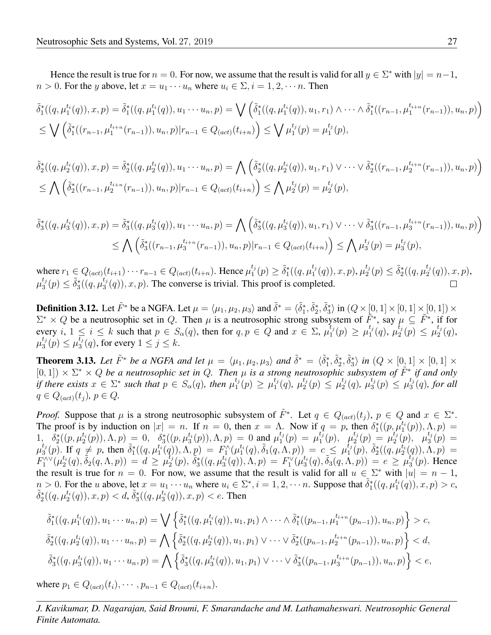Hence the result is true for  $n = 0$ . For now, we assume that the result is valid for all  $y \in \Sigma^*$  with  $|y| = n-1$ ,  $n > 0$ . For the y above, let  $x = u_1 \cdots u_n$  where  $u_i \in \Sigma$ ,  $i = 1, 2, \cdots n$ . Then

$$
\tilde{\delta}_1^*((q,\mu_1^{t_i}(q)),x,p) = \tilde{\delta}_1^*((q,\mu_1^{t_i}(q)),u_1\cdots u_n,p) = \bigvee \left(\tilde{\delta}_1^*((q,\mu_1^{t_i}(q)),u_1,r_1) \wedge \cdots \wedge \tilde{\delta}_1^*((r_{n-1},\mu_1^{t_{i+n}}(r_{n-1})),u_n,p)\right)
$$
\n
$$
\leq \bigvee \left(\tilde{\delta}_1^*((r_{n-1},\mu_1^{t_{i+n}}(r_{n-1})),u_n,p)|r_{n-1} \in Q_{(act)}(t_{i+n})\right) \leq \bigvee \mu_1^{t_j}(p) = \mu_1^{t_j}(p),
$$

$$
\tilde{\delta}_2^*((q, \mu_2^{t_i}(q)), x, p) = \tilde{\delta}_2^*((q, \mu_2^{t_i}(q)), u_1 \cdots u_n, p) = \bigwedge \left( \tilde{\delta}_2^*((q, \mu_2^{t_i}(q)), u_1, r_1) \vee \cdots \vee \tilde{\delta}_2^*((r_{n-1}, \mu_2^{t_{i+n}}(r_{n-1})), u_n, p) \right)
$$
\n
$$
\leq \bigwedge \left( \tilde{\delta}_2^*((r_{n-1}, \mu_2^{t_{i+n}}(r_{n-1})), u_n, p) | r_{n-1} \in Q_{(act)}(t_{i+n}) \right) \leq \bigwedge \mu_2^{t_j}(p) = \mu_2^{t_j}(p),
$$

$$
\tilde{\delta}_3^*((q,\mu_3^{t_i}(q)),x,p) = \tilde{\delta}_3^*((q,\mu_3^{t_i}(q)),u_1\cdots u_n,p) = \bigwedge \left(\tilde{\delta}_3^*((q,\mu_3^{t_i}(q)),u_1,r_1)\vee\cdots\vee\tilde{\delta}_3^*((r_{n-1},\mu_3^{t_{i+n}}(r_{n-1})),u_n,p)\right)
$$
\n
$$
\leq \bigwedge \left(\tilde{\delta}_3^*((r_{n-1},\mu_3^{t_{i+n}}(r_{n-1})),u_n,p)|r_{n-1}\in Q_{(act)}(t_{i+n})\right) \leq \bigwedge \mu_3^{t_j}(p) = \mu_3^{t_j}(p),
$$

where  $r_1 \in Q_{(act)}(t_{i+1}) \cdots r_{n-1} \in Q_{(act)}(t_{i+n})$ . Hence  $\mu_1^{t_j}$  $t_j(t_1) \geq \tilde{\delta}_1^*((q,\mu_1^{t_j}))$  $_{1}^{t_{j}}(q)),x,p),\mu_{2}^{t_{j}}$  $a_2^{t_j}(p) \leq \tilde{\delta}_2^*((q,\mu_2^{t_j}))$  $_{2}^{\iota_{j}}(q)),x,p),$  $\mu_3^{t_j}$  $_{3}^{t_{j}}(p) \leq \tilde{\delta}_{3}^{*}((q,\mu_{3}^{t_{j}}))$  $\binom{t_j}{3}(q)$ ,  $x, p$ ). The converse is trivial. This proof is completed.

**Definition 3.12.** Let  $\tilde{F}^*$  be a NGFA. Let  $\mu = \langle \mu_1, \mu_2, \mu_3 \rangle$  and  $\tilde{\delta}^* = \langle \tilde{\delta}_1^*, \tilde{\delta}_2^*, \tilde{\delta}_3^* \rangle$  in  $(Q \times [0, 1] \times [0, 1] \times [0, 1]) \times$  $_1, o_2, o_3$  $\Sigma^* \times Q$  be a neutrosophic set in Q. Then  $\mu$  is a neutrosophic strong subsystem of  $\tilde{F}^*$ , say  $\mu \subseteq \tilde{F}^*$ , if for every i,  $1 \le i \le k$  such that  $p \in S_\alpha(q)$ , then for  $q, p \in Q$  and  $x \in \Sigma$ ,  $\mu_1^{t_j}$  $\mu_1^{t_j}(p) \geq \mu_1^{t_j}$  $_{1}^{t_{j}}(q),$   $\mu_{2}^{t_{j}}$  $\frac{t_j}{2}(\overline{p}) \leq \mu_2^{t_j}$  $i_{2}^{i_{j}}(q),$  $\mu_3^{t_j}$  $t_{j}^{t_{j}}(p) \leq \mu_{3}^{\overline{t_{j}}}$  $\binom{t_j}{3}(q)$ , for every  $1 \leq j \leq k$ .

<span id="page-10-0"></span>**Theorem 3.13.** Let  $\tilde{F}^*$  be a NGFA and let  $\mu = \langle \mu_1, \mu_2, \mu_3 \rangle$  and  $\tilde{\delta}^* = \langle \tilde{\delta}_1^*, \tilde{\delta}_2^*, \tilde{\delta}_3^* \rangle$  in  $(Q \times [0, 1] \times [0, 1] \times$  $(0,1]$ )  $\times$   $\Sigma^*$   $\times$  *Q* be a neutrosophic set in *Q*. Then  $\mu$  is a strong neutrosophic subsystem of  $\tilde{F}^*$  if and only *if there exists*  $x \in \Sigma^*$  such that  $p \in S_\alpha(q)$ , then  $\mu_1^{t_j}$  $t_j(p) \geq \mu_1^{t_j}$  $_{1}^{t_{j}}(\check{q}), \ \mu_{2}^{t_{j}}$  $t_j(t_2) \leq \mu_2^{t_j}$  $_2^{t_j}(q),\ \mu_3^{t_j}$  $t_j(t_3(p) \leq \mu_3^{t_j}$  $\binom{\iota_j}{3}(q)$ , for all  $q \in Q_{(act)}(t_i)$ ,  $p \in Q$ .

*Proof.* Suppose that  $\mu$  is a strong neutrosophic subsystem of  $\tilde{F}^*$ . Let  $q \in Q_{(act)}(t_j)$ ,  $p \in Q$  and  $x \in \Sigma^*$ . The proof is by induction on  $|x| = n$ . If  $n = 0$ , then  $x = \Lambda$ . Now if  $q = p$ , then  $\delta_1^*(p, \mu_1^{t_1}(p)), \Lambda, p) =$ 1,  $\delta_2^*\((p, \mu_2^{t_i}(p)), \Lambda, p) = 0$ ,  $\delta_3^*\((p, \mu_3^{t_i}(p)), \Lambda, p) = 0$  and  $\mu_1^{t_j}(p) = \mu_1^{t_j}(p)$ ,  $\mu_2^{t_j}(p) = \mu_2^{t_j}(p)$  $t_j^t(p) = \mu_1^{t_j^-}$  $t_j^{\overline{t}_j}(p),\;\;\mu_2^{t_j}$  $\chi_{2}^{t_{j}}(p) = \mu_{2}^{t_{j}}$  $t_j(p),\;\;\mu_3^{t_j}$  $\binom{\iota_j}{3}(p) =$  $\mu^{t_j}_3$  $\tilde{f}_3^*(p)$ . If  $q \neq p$ , then  $\tilde{\delta}_1^*((q, \mu_1^{t_1}(q)), \Lambda, p) = F_1^{\Lambda}(\mu_1^{t_1}(q), \tilde{\delta}_1(q, \Lambda, p)) = c \leq \mu_1^{t_3}$  $\big( \begin{smallmatrix} t_j \ 1 \end{smallmatrix} \big( p \big), \ \tilde{\delta}_2^* \big( \big( q, \mu_2^{t_i} \big( q \big)), \Lambda, p \big) \ =$  $F_1^\wedge(\mu_2^{t_i}(q),\hat\delta_2(q,\Lambda,p))\ =\ d\geq \mu_2^{t_j}$  $\tilde{f}_{2}^{i}(p),\,\tilde{\delta}_{3}^{*}((q,\mu_{3}^{t_{i}}(q)),\Lambda,p)\,=\,F_{1}^{\vee}(\mu_{3}^{t_{i}}(q),\tilde{\delta}_{3}(q,\Lambda,p))\,=\,e\,\geq\,\mu_{3}^{t_{j}}.$  $\binom{t_j}{3}(p)$ . Hence the result is true for  $n = 0$ . For now, we assume that the result is valid for all  $u \in \Sigma^*$  with  $|u| = n - 1$ ,  $n > 0$ . For the u above, let  $x = u_1 \cdots u_n$  where  $u_i \in \Sigma^*$ ,  $i = 1, 2, \cdots n$ . Suppose that  $\tilde{\delta}_1^*((q, \mu_1^{t_i}(q)), x, p) > c$ ,  $\tilde{\delta}_2^*((q,\mu_2^{t_i}(q)), x, p) < d, \tilde{\delta}_3^*((q,\mu_3^{t_i}(q)), x, p) < e$ . Then

$$
\tilde{\delta}_1^*((q,\mu_1^{t_i}(q)), u_1 \cdots u_n, p) = \bigvee \left\{ \tilde{\delta}_1^*((q,\mu_1^{t_i}(q)), u_1, p_1) \wedge \cdots \wedge \tilde{\delta}_1^*((p_{n-1},\mu_1^{t_{i+n}}(p_{n-1})), u_n, p) \right\} > c,
$$
  

$$
\tilde{\delta}_2^*((q,\mu_2^{t_i}(q)), u_1 \cdots u_n, p) = \bigwedge \left\{ \tilde{\delta}_2^*((q,\mu_2^{t_i}(q)), u_1, p_1) \vee \cdots \vee \tilde{\delta}_2^*((p_{n-1},\mu_2^{t_{i+n}}(p_{n-1})), u_n, p) \right\} < d,
$$
  

$$
\tilde{\delta}_3^*((q,\mu_3^{t_i}(q)), u_1 \cdots u_n, p) = \bigwedge \left\{ \tilde{\delta}_3^*((q,\mu_3^{t_i}(q)), u_1, p_1) \vee \cdots \vee \tilde{\delta}_3^*((p_{n-1},\mu_3^{t_{i+n}}(p_{n-1})), u_n, p) \right\} < e,
$$

where  $p_1 \in Q_{(act)}(t_i), \cdots, p_{n-1} \in Q_{(act)}(t_{i+n}).$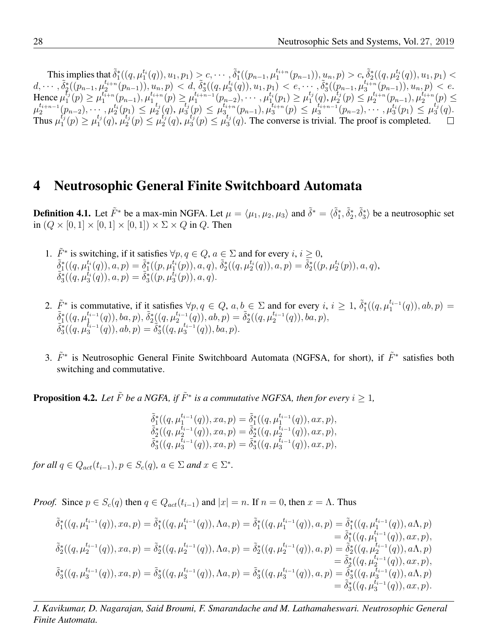This implies that  $\tilde{\delta}^*_1((q,\mu_1^{t_i}(q)),u_1,p_1) \geq c, \cdots, \tilde{\delta}^*_1((p_{n-1},\mu_1^{t_{i+n}}))$  $\lambda_1^{t_{i+n}}(p_{n-1})), \mu_n, p) > c, \tilde{\delta}_2^*((q, \mu_2^{t_i}(q)), u_1, p_1) <$  $d, \cdots, \widetilde{\delta}_2^* ( (p_{n-1}, \mu_2^{t_{i+n}}$  $\big( \begin{matrix} t_{i+n} (p_{n-1})), u_n, p) \ < \ d, \, \tilde{\delta}_3^* ( (q, \mu_3^{t_i} (q)), u_1, p_1) < e, \cdots, \tilde{\delta}_3^* ( (p_{n-1}, \mu_3^{t_{i+n}})) \end{matrix} \big)$  $\binom{t_{i+n}}{3}(p_{n-1}), u_n, p < e.$ Hence  $\mu_1^{\tilde{t}_j}$  $\tilde{t}_j(p) \geq \mu_1^{t_{i+n}^+}$  $t_{i+n}^{\tilde{t}_{i+n}}(p_{n-1}),\mu_1^{t_{i+n}}$  $\mu_1^{t_{i+n}}(p) \geq \mu_1^{t_{i+n-1}}$  $\mu_1^{t_{i+n-1}}(p_{n-2}), \cdots, \mu_1^{t_i}(p_1) \geq \mu_1^{t_j}$  $_{1}^{t_{j}}(q),\mu_{2}^{\overline{t}_{j}}$  $\mu_2^{t_j}(p) \leq \mu_2^{t_{i+n}}$  $t_{i+n}^{t_{i+n}}(p_{n-1}),\mu_2^{t_{i+n}}$  $\binom{t_{i+n}}{2}(p) \leq$  $\mu_2^{t_{i+n-1}}$  $\mu_2^{t_{i+n-1}}(p_{n-2}), \cdots, \mu_2^{t_i}(p_1) \leq \mu_2^{t_j}$  $t_j(q),\,\overline{\mu}_3^{t_j}$  $t_{j}^{t}(p) \leq \mu_{3}^{t_{i+n}}$  $t_{i+n} \overline{\left(p_{n-1}\right)}, \mu_3^{t_{i+n}}$  $\mu_{3}^{t_{i+n}}(p) \leq \mu_{3}^{t_{i+n-1}}$  $\hat{u}^{t_{i+n-1}}_{i_{3}}(p_{n-2}),\cdots, \hat{\mu^{t_{i}}_{3}}(p_{1})\leq \mu^{t_{j}_{j}}_{3}$  $\binom{\iota_j}{3}(q).$ Thus  $\mu_1^{\hat{t}_j}$  $\iota^{\vec{t}_j}_1(p) \geq \mu^{t_j}_1$  $t_j(q), \mu_2^{t_j}$  $L_j^t(p) \leq \mu_2^{t_j}$  $t_{j}^{t_{j}}(q), \mu_{3}^{t_{j}^{t}}$  $\iota_j^{t_j}(p) \leq \mu_3^{t_j}$  $\binom{t_j}{3}(q)$ . The converse is trivial. The proof is completed.

## 4 Neutrosophic General Finite Switchboard Automata

**Definition 4.1.** Let  $\tilde{F}^*$  be a max-min NGFA. Let  $\mu = \langle \mu_1, \mu_2, \mu_3 \rangle$  and  $\tilde{\delta}^* = \langle \tilde{\delta}_1^*, \tilde{\delta}_2^*, \tilde{\delta}_3^* \rangle$  be a neutrosophic set in  $(Q \times [0, 1] \times [0, 1] \times [0, 1]) \times \Sigma \times Q$  in Q. Then

- 1.  $\tilde{F}^*$  is switching, if it satisfies  $\forall p, q \in Q, a \in \Sigma$  and for every  $i, i \geq 0$ ,  $\tilde{\delta}^*_1((q,\mu_1^{t_i}(q)),a,p)=\tilde{\delta}^*_1((p,\mu_1^{t_i}(p)),a,q),\tilde{\delta}^*_2((q,\mu_2^{t_i}(q)),a,p)=\tilde{\delta}^*_2((p,\mu_2^{t_i}(p)),a,q),$  $\tilde{\delta}_{3}^{*}((q,\mu_{3}^{t_{i}}(q)),a,p)=\tilde{\delta}_{3}^{*}((p,\mu_{3}^{t_{i}}(p)),a,q).$
- 2.  $\tilde{F}^*$  is commutative, if it satisfies  $\forall p, q \in Q, a, b \in \Sigma$  and for every  $i, i \geq 1$ ,  $\tilde{\delta}_1^*((q, \mu_1^{t_{i-1}})$  $l_1^{t_{i-1}}(q)), ab, p) =$  $\tilde{\delta}^*_1$ ( $q,\mu^{t_{i-1}}_1$  $\tilde{b}^{t_{i-1}}_1(q)), ba, p), \tilde{\delta}^*_2\bigl((q,\mu^{t_{i-1}}_2)$  $\big( \begin{matrix} t_{i-1} \ q \end{matrix} \big)$ ,  $ab, p) = \tilde{\delta}_2^*((q, \mu_2^{t_{i-1}}))$  $a_{2}^{t_{i-1}}(q)), ba, p),$  $\tilde{\delta}_{3}^{*}((q,\mu_{3}^{\bar{t}_{i-1}})$  $(\hat{t}_{i-1}(q)), ab, p) = \hat{\delta}_3^*((q, \mu_3^{t_{i-1}})]$  $_{3}^{\tau_{i-1}}(q)),ba,p).$
- 3.  $\tilde{F}^*$  is Neutrosophic General Finite Switchboard Automata (NGFSA, for short), if  $\tilde{F}^*$  satisfies both switching and commutative.

**Proposition 4.2.** Let  $\tilde{F}$  be a NGFA, if  $\tilde{F}^*$  is a commutative NGFSA, then for every  $i \geq 1$ ,

$$
\begin{array}{l} \tilde{\delta}^*_1((q,\mu_1^{t_{i-1}}(q)),xa,p)=\tilde{\delta}^*_1((q,\mu_1^{t_{i-1}}(q)),ax,p),\\ \tilde{\delta}^*_2((q,\mu_2^{t_{i-1}}(q)),xa,p)=\tilde{\delta}^*_2((q,\mu_2^{t_{i-1}}(q)),ax,p),\\ \tilde{\delta}^*_3((q,\mu_3^{t_{i-1}}(q)),xa,p)=\tilde{\delta}^*_3((q,\mu_3^{t_{i-1}}(q)),ax,p), \end{array}
$$

*for all*  $q \in Q_{act}(t_{i-1}), p \in S_c(q)$ ,  $a \in \Sigma$  *and*  $x \in \Sigma^*$ .

*Proof.* Since  $p \in S_c(q)$  then  $q \in Q_{act}(t_{i-1})$  and  $|x| = n$ . If  $n = 0$ , then  $x = \Lambda$ . Thus

$$
\begin{aligned}\n\tilde{\delta}_1^*( (q, \mu_1^{t_{i-1}}(q)), xa, p) &= \tilde{\delta}_1^*((q, \mu_1^{t_{i-1}}(q)), \Lambda a, p) \\
&= \tilde{\delta}_1^*((q, \mu_1^{t_{i-1}}(q)), a, p) \\
&= \tilde{\delta}_1^*((q, \mu_1^{t_{i-1}}(q)), ax, p), \\
\tilde{\delta}_2^*((q, \mu_2^{t_{i-1}}(q)), xa, p) &= \tilde{\delta}_2^*((q, \mu_2^{t_{i-1}}(q)), \Lambda a, p) \\
&= \tilde{\delta}_2^*((q, \mu_2^{t_{i-1}}(q)), ax, p), \\
\tilde{\delta}_3^*((q, \mu_3^{t_{i-1}}(q)), xa, p) &= \tilde{\delta}_3^*((q, \mu_3^{t_{i-1}}(q)), \Lambda a, p) \\
&= \tilde{\delta}_3^*((q, \mu_3^{t_{i-1}}(q)), ax, p), \\
\tilde{\delta}_3^*((q, \mu_3^{t_{i-1}}(q)), xa, p) &= \tilde{\delta}_3^*((q, \mu_3^{t_{i-1}}(q)), a, p) \\
&= \tilde{\delta}_3^*((q, \mu_3^{t_{i-1}}(q)), a\Lambda, p) \\
&= \tilde{\delta}_3^*((q, \mu_3^{t_{i-1}}(q)), ax, p).\n\end{aligned}
$$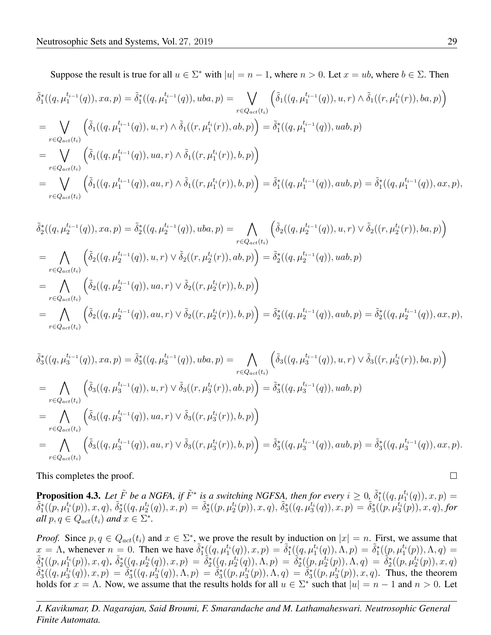Suppose the result is true for all  $u \in \Sigma^*$  with  $|u| = n - 1$ , where  $n > 0$ . Let  $x = ub$ , where  $b \in \Sigma$ . Then

$$
\tilde{\delta}_{1}^{*}((q, \mu_{1}^{t_{i-1}}(q)), xa, p) = \tilde{\delta}_{1}^{*}((q, \mu_{1}^{t_{i-1}}(q)), uba, p) = \bigvee_{r \in Q_{act}(t_{i})} \left( \tilde{\delta}_{1}((q, \mu_{1}^{t_{i-1}}(q)), u, r) \wedge \tilde{\delta}_{1}((r, \mu_{1}^{t_{i}}(r)), ba, p) \right)
$$
\n
$$
= \bigvee_{r \in Q_{act}(t_{i})} \left( \tilde{\delta}_{1}((q, \mu_{1}^{t_{i-1}}(q)), u, r) \wedge \tilde{\delta}_{1}((r, \mu_{1}^{t_{i}}(r)), ab, p) \right) = \tilde{\delta}_{1}^{*}((q, \mu_{1}^{t_{i-1}}(q)), uab, p)
$$
\n
$$
= \bigvee_{r \in Q_{act}(t_{i})} \left( \tilde{\delta}_{1}((q, \mu_{1}^{t_{i-1}}(q)), ua, r) \wedge \tilde{\delta}_{1}((r, \mu_{1}^{t_{i}}(r)), b, p) \right)
$$
\n
$$
= \bigvee_{r \in Q_{act}(t_{i})} \left( \tilde{\delta}_{1}((q, \mu_{1}^{t_{i-1}}(q)), au, r) \wedge \tilde{\delta}_{1}((r, \mu_{1}^{t_{i}}(r)), b, p) \right) = \tilde{\delta}_{1}^{*}((q, \mu_{1}^{t_{i-1}}(q)), au, p) = \tilde{\delta}_{1}^{*}((q, \mu_{1}^{t_{i-1}}(q)), ax, p), p) = \tilde{\delta}_{1}^{*}((q, \mu_{1}^{t_{i-1}}(q)), au, p) = \tilde{\delta}_{1}^{*}((q, \mu_{1}^{t_{i-1}}(q)), ax, p), p) = \tilde{\delta}_{1}^{*}((q, \mu_{1}^{t_{i-1}}(q)), a, p) = \tilde{\delta}_{1}^{*}((q, \mu_{1}^{t_{i-1}}(q)), ax, p), p) = \tilde{\delta}_{1}^{*}((q, \mu_{1}^{t_{i-1}}(q)), a, p) = \tilde{\delta}_{1}^{*}((q, \mu_{1}^{t_{i-1}}(q)), a, p) = \tilde{\delta}_{1}^{*}
$$

$$
\tilde{\delta}_{2}^{*}((q, \mu_{2}^{t_{i-1}}(q)), xa, p) = \tilde{\delta}_{2}^{*}((q, \mu_{2}^{t_{i-1}}(q)), uba, p) = \bigwedge_{r \in Q_{act}(t_{i})} \left( \tilde{\delta}_{2}((q, \mu_{2}^{t_{i-1}}(q)), u, r) \vee \tilde{\delta}_{2}((r, \mu_{2}^{t_{i}}(r)), ba, p) \right)
$$
\n
$$
= \bigwedge_{r \in Q_{act}(t_{i})} \left( \tilde{\delta}_{2}((q, \mu_{2}^{t_{i-1}}(q)), u, r) \vee \tilde{\delta}_{2}((r, \mu_{2}^{t_{i}}(r)), ab, p) \right) = \tilde{\delta}_{2}^{*}((q, \mu_{2}^{t_{i-1}}(q)), uab, p)
$$
\n
$$
= \bigwedge_{r \in Q_{act}(t_{i})} \left( \tilde{\delta}_{2}((q, \mu_{2}^{t_{i-1}}(q)), ua, r) \vee \tilde{\delta}_{2}((r, \mu_{2}^{t_{i}}(r)), b, p) \right)
$$
\n
$$
= \bigwedge_{r \in Q_{act}(t_{i})} \left( \tilde{\delta}_{2}((q, \mu_{2}^{t_{i-1}}(q)), au, r) \vee \tilde{\delta}_{2}((r, \mu_{2}^{t_{i}}(r)), b, p) \right) = \tilde{\delta}_{2}^{*}((q, \mu_{2}^{t_{i-1}}(q)), au, p) = \tilde{\delta}_{2}^{*}((q, \mu_{2}^{t_{i-1}}(q)), ax, p), p) = \tilde{\delta}_{2}^{*}((q, \mu_{2}^{t_{i-1}}(q)), au, p) = \tilde{\delta}_{2}^{*}((q, \mu_{2}^{t_{i-1}}(q)), ax, p), p) = \tilde{\delta}_{2}^{*}((q, \mu_{2}^{t_{i-1}}(q)), a, p) = \tilde{\delta}_{2}^{*}((q, \mu_{2}^{t_{i-1}}(q)), a, p) = \tilde{\delta}_{2}^{*}((q, \mu_{2}^{t_{i-1}}(q)), a, p) = \tilde{\delta}_{2}^{*}((q, \mu_{2}^{t_{i-1}}(q)), a, p) = \tilde{\delta}_{2}^{*}((q
$$

$$
\tilde{\delta}_{3}^{*}((q, \mu_{3}^{t_{i-1}}(q)), xa, p) = \tilde{\delta}_{3}^{*}((q, \mu_{3}^{t_{i-1}}(q)), uba, p) = \bigwedge_{r \in Q_{act}(t_{i})} \left( \tilde{\delta}_{3}((q, \mu_{3}^{t_{i-1}}(q)), u, r) \vee \tilde{\delta}_{3}((r, \mu_{3}^{t_{i}}(r)), ba, p) \right)
$$
\n
$$
= \bigwedge_{r \in Q_{act}(t_{i})} \left( \tilde{\delta}_{3}((q, \mu_{3}^{t_{i-1}}(q)), u, r) \vee \tilde{\delta}_{3}((r, \mu_{3}^{t_{i}}(r)), ab, p) \right) = \tilde{\delta}_{3}^{*}((q, \mu_{3}^{t_{i-1}}(q)), uab, p)
$$
\n
$$
= \bigwedge_{r \in Q_{act}(t_{i})} \left( \tilde{\delta}_{3}((q, \mu_{3}^{t_{i-1}}(q)), ua, r) \vee \tilde{\delta}_{3}((r, \mu_{3}^{t_{i}}(r)), b, p) \right)
$$
\n
$$
= \bigwedge_{r \in Q_{act}(t_{i})} \left( \tilde{\delta}_{3}((q, \mu_{3}^{t_{i-1}}(q)), au, r) \vee \tilde{\delta}_{3}((r, \mu_{3}^{t_{i}}(r)), b, p) \right) = \tilde{\delta}_{3}^{*}((q, \mu_{3}^{t_{i-1}}(q)), au, p) = \tilde{\delta}_{3}^{*}((q, \mu_{3}^{t_{i-1}}(q)), ax, p).
$$

This completes the proof.

**Proposition 4.3.** Let  $\tilde{F}$  be a NGFA, if  $\tilde{F}^*$  is a switching NGFSA, then for every  $i \geq 0$ ,  $\tilde{\delta}_1^*((q,\mu_1^{t_i}(q)),x,p) =$  $\tilde{\delta}_1^*((p,\mu_1^{t_i}(p)),x,q),\,\tilde{\delta}_2^*((q,\mu_2^{t_i}(q)),x,p)=\tilde{\delta}_2^*((p,\mu_2^{t_i}(p)),x,q),\,\tilde{\delta}_3^*((q,\mu_3^{t_i}(q)),x,p)=\tilde{\delta}_3^*((p,\mu_3^{t_i}(p)),x,q),$  for *all*  $p, q \in Q_{act}(t_i)$  *and*  $x \in \Sigma^*$ *.* 

*Proof.* Since  $p, q \in Q_{act}(t_i)$  and  $x \in \Sigma^*$ , we prove the result by induction on  $|x| = n$ . First, we assume that  $x = \Lambda$ , whenever  $n = 0$ . Then we have  $\tilde{\delta}_1^*((q, \mu_1^{t_i}(q)), x, p) = \tilde{\delta}_1^*((q, \mu_1^{t_i}(q)), \Lambda, p) = \tilde{\delta}_1^*((p, \mu_1^{t_i}(p)), \Lambda, q) =$  $\tilde{\delta}_1^{*}((p,\mu_1^{t_i}(p)),x,q),\ \tilde{\delta}_2^{*}((q,\mu_2^{t_i}(q)),x,p)=\tilde{\delta}_2^{*}((q,\mu_2^{t_i}(q)),\Lambda,p)=\tilde{\delta}_2^{*}((p,\mu_2^{t_i}(p)),\Lambda,q)=\tilde{\delta}_2^{*}((p,\mu_2^{t_i}(p)),x,q)$  $\delta_3^*((q,\mu_3^{t_i}(q)),x,p) = \delta_3^*((q,\mu_3^{t_i}(q)),\Lambda,p) = \delta_3^*((p,\mu_3^{t_i}(p)),\Lambda,q) = \delta_3^*((p,\mu_3^{t_i}(p)),x,q)$ . Thus, the theorem holds for  $x = \Lambda$ . Now, we assume that the results holds for all  $u \in \Sigma^*$  such that  $|u| = n - 1$  and  $n > 0$ . Let

$$
\qquad \qquad \Box
$$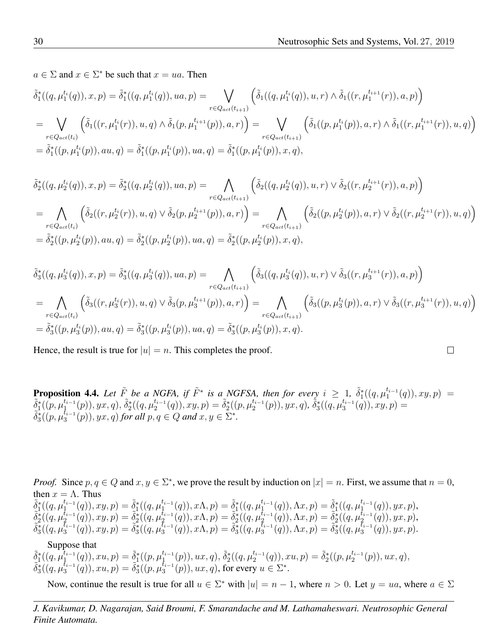$a \in \Sigma$  and  $x \in \Sigma^*$  be such that  $x = ua$ . Then

$$
\tilde{\delta}_{1}^{*}((q, \mu_{1}^{t_{i}}(q)), x, p) = \tilde{\delta}_{1}^{*}((q, \mu_{1}^{t_{i}}(q)), ua, p) = \bigvee_{r \in Q_{act}(t_{i+1})} \left( \tilde{\delta}_{1}((q, \mu_{1}^{t_{i}}(q)), u, r) \wedge \tilde{\delta}_{1}((r, \mu_{1}^{t_{i+1}}(r)), a, p) \right)
$$
\n
$$
= \bigvee_{r \in Q_{act}(t_{i})} \left( \tilde{\delta}_{1}((r, \mu_{1}^{t_{i}}(r)), u, q) \wedge \tilde{\delta}_{1}(p, \mu_{1}^{t_{i+1}}(p)), a, r) \right) = \bigvee_{r \in Q_{act}(t_{i+1})} \left( \tilde{\delta}_{1}((p, \mu_{1}^{t_{i}}(p)), a, r) \wedge \tilde{\delta}_{1}((r, \mu_{1}^{t_{i+1}}(r)), u, q) \right)
$$
\n
$$
= \tilde{\delta}_{1}^{*}((p, \mu_{1}^{t_{i}}(p)), au, q) = \tilde{\delta}_{1}^{*}((p, \mu_{1}^{t_{i}}(p)), u, q) = \tilde{\delta}_{1}^{*}((p, \mu_{1}^{t_{i}}(p)), x, q),
$$

$$
\tilde{\delta}_{2}^{*}((q, \mu_{2}^{t_{i}}(q)), x, p) = \tilde{\delta}_{2}^{*}((q, \mu_{2}^{t_{i}}(q)), ua, p) = \bigwedge_{r \in Q_{act}(t_{i+1})} \left( \tilde{\delta}_{2}((q, \mu_{2}^{t_{i}}(q)), u, r) \vee \tilde{\delta}_{2}((r, \mu_{2}^{t_{i+1}}(r)), a, p) \right)
$$
\n
$$
= \bigwedge_{r \in Q_{act}(t_{i})} \left( \tilde{\delta}_{2}((r, \mu_{2}^{t_{i}}(r)), u, q) \vee \tilde{\delta}_{2}(p, \mu_{2}^{t_{i+1}}(p)), a, r) \right) = \bigwedge_{r \in Q_{act}(t_{i+1})} \left( \tilde{\delta}_{2}((p, \mu_{2}^{t_{i}}(p)), a, r) \vee \tilde{\delta}_{2}((r, \mu_{2}^{t_{i+1}}(r)), u, q) \right)
$$
\n
$$
= \tilde{\delta}_{2}^{*}((p, \mu_{2}^{t_{i}}(p)), au, q) = \tilde{\delta}_{2}^{*}((p, \mu_{2}^{t_{i}}(p)), u, q) = \tilde{\delta}_{2}^{*}((p, \mu_{2}^{t_{i}}(p)), x, q),
$$

$$
\tilde{\delta}_{3}^{*}((q, \mu_{3}^{t_{i}}(q)), x, p) = \tilde{\delta}_{3}^{*}((q, \mu_{3}^{t_{i}}(q)), ua, p) = \bigwedge_{r \in Q_{act}(t_{i+1})} \left( \tilde{\delta}_{3}((q, \mu_{3}^{t_{i}}(q)), u, r) \vee \tilde{\delta}_{3}((r, \mu_{3}^{t_{i+1}}(r)), a, p) \right)
$$
\n
$$
= \bigwedge_{r \in Q_{act}(t_{i})} \left( \tilde{\delta}_{3}((r, \mu_{3}^{t_{i}}(r)), u, q) \vee \tilde{\delta}_{3}(p, \mu_{3}^{t_{i+1}}(p)), a, r) \right) = \bigwedge_{r \in Q_{act}(t_{i+1})} \left( \tilde{\delta}_{3}((p, \mu_{3}^{t_{i}}(p)), a, r) \vee \tilde{\delta}_{3}((r, \mu_{3}^{t_{i+1}}(r)), u, q) \right)
$$
\n
$$
= \tilde{\delta}_{3}^{*}((p, \mu_{3}^{t_{i}}(p)), au, q) = \tilde{\delta}_{3}^{*}((p, \mu_{3}^{t_{i}}(p)), ua, q) = \tilde{\delta}_{3}^{*}((p, \mu_{3}^{t_{i}}(p)), x, q).
$$

Hence, the result is true for  $|u| = n$ . This completes the proof.

**Proposition 4.4.** Let  $\tilde{F}_{z}$  be a NGFA, if  $\tilde{F}^{*}$  is a NGFSA, then for every  $i \geq 1$ ,  $\tilde{\delta}_{1}^{*}((q,\mu_{1}^{t_{i-1}}))$  $i_{1}^{t_{i-1}}(q)), xy, p) =$  $\tilde{\delta}^*_1(\stackrel{-}{(p},\mu_1^{t_{i-1}}$  $_{1}^{t_{i-1}}(p)),yx,q),\,\tilde{\delta}_{2}^{\ast}((q,\mu_{2}^{t_{i-1}}))$  $\tilde{a}_2^{t_{i-1}}(q)$ ,  $xy, p) = \tilde{\delta}_2^*$  $((p, \mu_2^{t_{i-1}}))$  $\big( \begin{matrix} t_{i-1}(p) \end{matrix} \big), yx, q \big), \, \tilde{\delta}^*_3((q, \mu_3^{t_{i-1}}))$  $a_3^{t_{i-1}}(q)), xy, p) =$  $\widetilde{\delta_3}^* ( \widetilde{p}, \mu_3^{t_{i-1}})$  $J_3^{t_{i-1}}(p)$ ,  $yx, q$ ) for all  $p, q \in Q$  and  $x, y \in \Sigma^*$ .

*Proof.* Since  $p, q \in Q$  and  $x, y \in \Sigma^*$ , we prove the result by induction on  $|x| = n$ . First, we assume that  $n = 0$ , then  $x = \Lambda$ . Thus  $\tilde{\delta}^*_1$ ( $q,\mu^{t_{i-1}}_1$  $\tilde{a}_1^{t_{i-1}}(q)$ ,  $xy, p$ ) =  $\tilde{\delta}_1^*$ ( $(q, \mu_1^{t_{i-1}})$  $\tilde{Q}_1^{t_{i-1}}(q)$ ,  $x\Lambda, p$ ) =  $\tilde{Q}_1^*((q, \mu_1^{t_{i-1}})$  $\tilde{Q}_1^{t_{i-1}}(q)$ ,  $\Lambda x, p$ ) =  $\tilde{Q}_1^*$ ( $(q, \mu_1^{t_{i-1}})$  $_{1}^{t_{i-1}}(q)),$   $yx, p),$  $\tilde{\delta}_{2}^{*}((q,\mu_{2}^{t_{i-1}}% ,\lambda_{1}^{t_{i-1}}),\lambda_{1}^{t_{i-1}}))$  $\tilde{t}_{i-1}(q)), xy, p) = \tilde{\delta}_{2}^{*}((q, \mu_{2}^{\tilde{t}_{i-1}}))$  $(\hat{t}_{i-1}(q)), x \Lambda, p) = \tilde{\delta}_2^*((q, \mu_2^{\hat{t}_{i-1}})]$  $(\hat{t}_{i-1}(q)), \Lambda x, p) = \tilde{\delta}_2^*((q, \mu_2^{\tilde{t}_{i-1}})]$  $_{2}^{\tau_{i-1}}(q)),yx,p),$  $\widetilde{\delta_3}^* ( (q,\mu_3^{\tilde{t}_{i-1}}$  $\widetilde{t}_{i-1}(q)), xy, p) = \widetilde{\delta_3}^* (q, \mu_3^{\tilde{t}_{i-1}})$  $\begin{array}{c} \tilde{t}_{i-1}(q)), x \Lambda, p) = \tilde{\delta}^{*}_{3}((q, \mu_{3}^{\tilde{t}_{i-1}})) \end{array}$  $\begin{pmatrix} \tilde{t}_{i-1}(q) \\ 3 \end{pmatrix}, \Lambda x, p) = \tilde{\delta}_{3}^{*}((q, \mu_{3}^{\tilde{t}_{i-1}}))$  $_{3}^{\tau_{i-1}}(q)),$   $yx, p).$ Suppose that  $\tilde{\delta}^*_1$ ( $q,\tilde{\mu}^{t_{i-1}}_1$  $\tilde{d}^{t_{i-1}}_1(q)$ ,  $xu, p) = \tilde{d}^*_1((p, \mu_1^{t_{i-1}}))$  $_{1}^{t_{i-1}}(p)),ux,q),\,\tilde{\delta}_{2}^{\ast}((q,\mu_{2}^{t_{i-1}}))$  $a_2^{t_{i-1}}(q)$ ,  $xu, p) = \tilde{\delta}_2^*((p, \mu_2^{t_{i-1}}))$  $_{2}^{\tau_{i-1}}(p)),ux,q),$  $\widetilde{\delta_3}^*$  $((q,\mu_3^{t_{i-1}})$  $(\tilde{t}_{i-1}(q)), xu, p) = \tilde{\delta}_3^*((p, \mu_3^{\tilde{t}_{i-1}})]$  $a_3^{t_{i-1}}(p)$ ,  $ux, q$ ), for every  $u \in \Sigma^*$ .

Now, continue the result is true for all  $u \in \Sigma^*$  with  $|u| = n - 1$ , where  $n > 0$ . Let  $y = ua$ , where  $a \in \Sigma$ 

$$
\Box
$$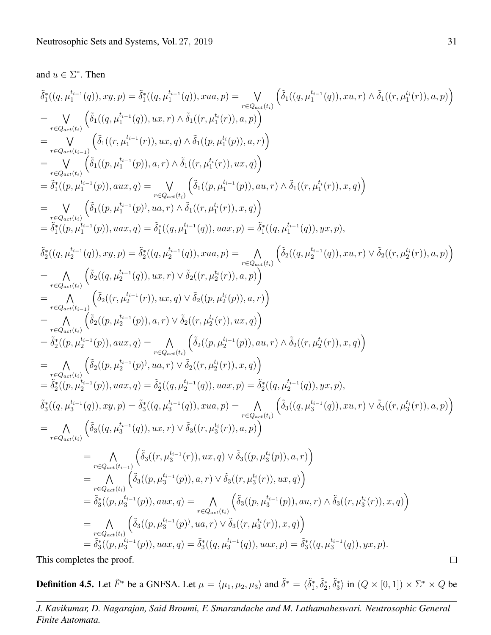#### and  $u \in \Sigma^*$ . Then

$$
\begin{array}{l} \bar{\delta}_{1}^{*}((q,\mu_{1}^{h-1}(q)),xy,p)=\bar{\delta}_{1}^{*}((q,\mu_{1}^{h-1}(q)),xua,p)=\sum_{\tau\in Q_{\text{test}}(t_{1})}\left(\bar{\delta}_{1}((q,\mu_{1}^{h-1}(q)),xu,r)\wedge\bar{\delta}_{1}((r,\mu_{1}^{h}(r)),a,p)\right)\\ \\ =\underset{\tau\in Q_{\text{test}}(t_{1})}{\sqrt{\tilde{\delta}_{1}((q,\mu_{1}^{h-1}(q)),ux,r)\wedge\bar{\delta}_{1}((r,\mu_{1}^{h}(r)),a,p))} \\ =\underset{\tau\in Q_{\text{test}}(t_{1})}{\sqrt{\tilde{\delta}_{1}((r,\mu_{1}^{h-1}(p)),ax,r)\wedge\bar{\delta}_{1}((r,\mu_{1}^{h}(p)),a,r))} \\ =\underset{\tau\in Q_{\text{test}}(t_{1})}{\sqrt{\tilde{\delta}_{1}((p,\mu_{1}^{h-1}(p)),aux,q)\wedge\bar{\delta}_{1}((r,\mu_{1}^{h}(r)),ux,q))} \\ =\bar{\delta}_{1}^{*}((p,\mu_{1}^{h-1}(p)),aux,q)=\underset{\tau\in Q_{\text{test}}(t_{1})}{\sqrt{\tilde{\delta}_{1}((p,\mu_{1}^{h-1}(q)),ux,r)\wedge\bar{\delta}_{1}((r,\mu_{1}^{h-1}(q)),yx,r))} \\ =\bar{\delta}_{1}^{*}((p,\mu_{1}^{h-1}(p)),uax,q)=\sum_{\tau\in Q_{\text{test}}(t_{1})}(\bar{\delta}_{1}((p,\mu_{1}^{h-1}(q)),ux,r)\wedge\bar{\delta}_{1}((r,\mu_{1}^{h-1}(q)),yx,r)),\\ \bar{\delta}_{2}^{*}((q,\mu_{2}^{h-1}(q)),xxy,p)=\bar{\delta}_{1}^{*}((q,\mu_{2}^{h-1}(q)),xua,p)=\underset{\tau\in Q_{\text{test}}(t_{1})}{\sqrt{\tilde{\delta}_{1}((p,\mu_{1}^{h-1}(q)),xu,r)\wedge\bar{\delta}_{2}((r,\mu_{2}^{h-1}(q)),xu,r)\wedge\bar{\delta}_{2}((r,\mu_{2}^{h-1}(q)),xu,r)\wedge\bar{\delta}_{2}((r,\mu_{2}^{h-1}(q)),xu,r)\wedge\bar{\delta}_{2}((r,\mu_{
$$

This completes the proof.

**Definition 4.5.** Let  $\tilde{F}^*$  be a GNFSA. Let  $\mu = \langle \mu_1, \mu_2, \mu_3 \rangle$  and  $\tilde{\delta}^* = \langle \tilde{\delta}_1^*, \tilde{\delta}_2^*, \tilde{\delta}_3^* \rangle$  in  $(Q \times [0, 1]) \times \Sigma^* \times Q$  be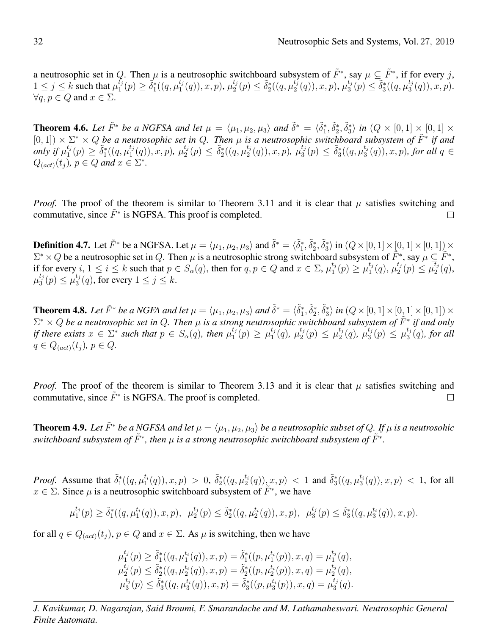a neutrosophic set in Q. Then  $\mu$  is a neutrosophic switchboard subsystem of  $\tilde{F}^*$ , say  $\mu \subseteq \tilde{F}^*$ , if for every j,  $1 \leq j \leq k$  such that  $\mu_1^{t_j}$  $\tilde{t}_j^t(p) \geq \tilde{\delta}_1^*\left((q,\mu_1^{t_j})\right)$  $_{1}^{t_{j}}(q)),x,p),\mu_{2}^{t_{j}}$  $a_2^{t_j}(p) \leq \tilde{\delta}_2^*((q,\mu_2^{t_j^+}))$  $\iota_2^{t_j}(q)), x, p), \, \mu_3^{t_j}$  $\tilde{\delta}_3^*(p) \leq \tilde{\delta}_3^*((q,\mu_3^{t_j}))$  $_{3}^{\iota_{j}}(q)),x,p).$  $\forall q, p \in Q$  and  $x \in \Sigma$ .

**Theorem 4.6.** Let  $\tilde{F}^*$  be a NGFSA and let  $\mu = \langle \mu_1, \mu_2, \mu_3 \rangle$  and  $\tilde{\delta}^* = \langle \tilde{\delta}_1^*, \tilde{\delta}_2^*, \tilde{\delta}_3^* \rangle$  in  $(Q \times [0, 1] \times [0, 1] \times$  $(0, 1]$ )  $\times \Sigma^* \times Q$  be a neutrosophic set in Q. Then  $\mu$  is a neutrosophic switchboard subsystem of  $\tilde{F}^*$  if and *only if*  $\mu_1^{t_j}$  $t_j^t(p) \geq \tilde{\delta}_1^*(q, \mu_1^{t_j})$  $\binom{t_j}{1}(q), x, p), \ \mu_2^{t_j}$  $\binom{t_j}{2}(p) \leq \tilde{\delta}_2^*((q,\mu_2^{t_j}))$  $\mu^{t_j}_2(q)), x, p), \mu^{t_j}_3$  $\frac{t_j}{3}(p) \leq \tilde{\delta}_3^*((q,\mu_3^{t_j}))$  $\binom{t_j}{3}(q)$ , x, p), for all  $q \in$  $Q_{(act)}(t_j)$ *,*  $p \in Q$  and  $x \in \Sigma^*$ *.* 

*Proof.* The proof of the theorem is similar to Theorem [3.11](#page-9-0) and it is clear that  $\mu$  satisfies switching and commutative, since  $\tilde{F}^*$  is NGFSA. This proof is completed.  $\Box$ 

**Definition 4.7.** Let  $\tilde{F}^*$  be a NGFSA. Let  $\mu = \langle \mu_1, \mu_2, \mu_3 \rangle$  and  $\tilde{\delta}^* = \langle \tilde{\delta}_1^*, \tilde{\delta}_2^*, \tilde{\delta}_3^* \rangle$  in  $(Q \times [0, 1] \times [0, 1] \times [0, 1]) \times$  $\Sigma^* \times Q$  be a neutrosophic set in Q. Then  $\mu$  is a neutrosophic strong switchboard subsystem of  $\tilde{F}^*$ , say  $\mu \subseteq \tilde{F}^*$ , if for every  $i, 1 \le i \le k$  such that  $p \in S_\alpha(q)$ , then for  $q, p \in Q$  and  $x \in \Sigma$ ,  $\mu_1^{t_j}$  $t_j^{t_j}(p) \geq \mu_1^{t_j}$  $_1^{t_j}(q),\,\mu_2^{t_j}$  $L_2^{t_j}(p) \leq \mu_2^{\overline{t}_j}$  $i_2^{i_3}(q)$ ,  $\mu_3^{t_j}$  $t_j(t_j) \leq \mu_3^{t_j}$  $\binom{t_j}{3}(q)$ , for every  $1 \leq j \leq k$ .

**Theorem 4.8.** Let  $\tilde{F}^*$  be a NGFA and let  $\mu = \langle \mu_1, \mu_2, \mu_3 \rangle$  and  $\tilde{\delta}^* = \langle \tilde{\delta}_1^*, \tilde{\delta}_2^*, \tilde{\delta}_3^* \rangle$  in  $(Q \times [0, 1] \times [0, 1] \times [0, 1]) \times$ Σ <sup>∗</sup> × Q *be a neutrosophic set in* Q*. Then* µ *is a strong neutrosophic switchboard subsystem of* F˜<sup>∗</sup> *if and only if there exists*  $x \in \Sigma^*$  such that  $p \in S_\alpha(q)$ , then  $\mu_1^{t_j}$  $t_{j}^{t_{j}}(p) \geq \mu_{1}^{t_{j}}$  $_{1}^{t_{j}}(q),\ \mu_{2}^{t_{j}}$  $t_j(t_2(p) \leq \mu_2^{t_j}$  $_2^{t_j}(q), \, \mu_3^{t_j}$  $t_j(t_3(p) \leq \mu_3^{t_j}$  $\binom{\iota_j}{3}(q)$ , for all  $q \in Q_{(act)}(t_i)$ ,  $p \in Q$ .

*Proof.* The proof of the theorem is similar to Theorem [3.13](#page-10-0) and it is clear that  $\mu$  satisfies switching and commutative, since  $\tilde{F}^*$  is NGFSA. The proof is completed.  $\Box$ 

**Theorem 4.9.** Let  $\tilde{F}^*$  be a NGFSA and let  $\mu = \langle \mu_1, \mu_2, \mu_3 \rangle$  be a neutrosophic subset of Q. If  $\mu$  is a neutrosohic  $s$ witchboard subsystem of  $\tilde{F}^*$ , then  $\mu$  is a strong neutrosophic switchboard subsystem of  $\tilde{F}^*$ .

*Proof.* Assume that  $\tilde{\delta}_1^*((q,\mu_1^{t_i}(q)),x,p) > 0$ ,  $\tilde{\delta}_2^*((q,\mu_2^{t_i}(q)),x,p) < 1$  and  $\tilde{\delta}_3^*((q,\mu_3^{t_i}(q)),x,p) < 1$ , for all  $x \in \Sigma$ . Since  $\mu$  is a neutrosophic switchboard subsystem of  $\widetilde{F}^*$ , we have

$$
\mu_1^{t_j}(p) \ge \tilde{\delta}_1^*((q, \mu_1^{t_i}(q)), x, p), \ \mu_2^{t_j}(p) \le \tilde{\delta}_2^*((q, \mu_2^{t_i}(q)), x, p), \ \mu_3^{t_j}(p) \le \tilde{\delta}_3^*((q, \mu_3^{t_i}(q)), x, p).
$$

for all  $q \in Q_{(act)}(t_j)$ ,  $p \in Q$  and  $x \in \Sigma$ . As  $\mu$  is switching, then we have

$$
\mu_1^{t_j}(p) \ge \tilde{\delta}_1^*((q, \mu_1^{t_i}(q)), x, p) = \tilde{\delta}_1^*((p, \mu_1^{t_i}(p)), x, q) = \mu_1^{t_j}(q), \n\mu_2^{t_j}(p) \le \tilde{\delta}_2^*((q, \mu_2^{t_i}(q)), x, p) = \tilde{\delta}_2^*((p, \mu_2^{t_i}(p)), x, q) = \mu_2^{t_j}(q), \n\mu_3^{t_j}(p) \le \tilde{\delta}_3^*((q, \mu_3^{t_i}(q)), x, p) = \tilde{\delta}_3^*((p, \mu_3^{t_i}(p)), x, q) = \mu_3^{t_j}(q).
$$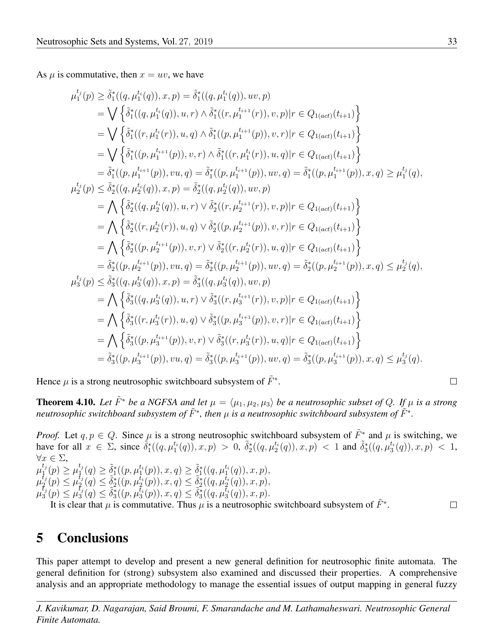As  $\mu$  is commutative, then  $x = uv$ , we have

$$
\mu_{1}^{t_{j}}(p) \geq \tilde{\delta}_{1}^{*}((q, \mu_{1}^{t_{i}}(q)), x, p) = \tilde{\delta}_{1}^{*}((q, \mu_{1}^{t_{i}}(q)), uv, p)
$$
\n
$$
= \bigvee \left\{ \tilde{\delta}_{1}^{*}((q, \mu_{1}^{t_{i}}(q)), u, r) \wedge \tilde{\delta}_{1}^{*}((r, \mu_{1}^{t_{i+1}}(r)), v, p)|r \in Q_{1(act)}(t_{i+1}) \right\}
$$
\n
$$
= \bigvee \left\{ \tilde{\delta}_{1}^{*}((r, \mu_{1}^{t_{i}}(r)), u, q) \wedge \tilde{\delta}_{1}^{*}((p, \mu_{1}^{t_{i+1}}(p)), v, r)|r \in Q_{1(act)}(t_{i+1}) \right\}
$$
\n
$$
= \tilde{\delta}_{1}^{*}((p, \mu_{1}^{t_{i+1}}(p)), v, r) \wedge \tilde{\delta}_{1}^{*}((r, \mu_{1}^{t_{i}}(r)), u, q)|r \in Q_{1(act)}(t_{i+1}) \right\}
$$
\n
$$
= \tilde{\delta}_{1}^{*}((p, \mu_{1}^{t_{i+1}}(p)), vu, q) = \tilde{\delta}_{1}^{*}((p, \mu_{1}^{t_{i+1}}(p)), uv, q) = \tilde{\delta}_{1}^{*}((p, \mu_{1}^{t_{i+1}}(p)), x, q) \geq \mu_{1}^{t_{j}}(q),
$$
\n
$$
\mu_{2}^{t_{j}}(p) \leq \tilde{\delta}_{2}^{*}((q, \mu_{2}^{t_{i}}(q)), x, p) = \tilde{\delta}_{2}^{*}((q, \mu_{2}^{t_{i}}(q)), uv, p)
$$
\n
$$
= \bigwedge \left\{ \tilde{\delta}_{2}^{*}((r, \mu_{2}^{t_{i}}(r)), u, q) \vee \tilde{\delta}_{2}^{*}((r, \mu_{2}^{t_{i+1}}(r)), v, p)|r \in Q_{1(act)}(t_{i+1}) \right\}
$$
\n
$$
= \bigwedge \left\{ \tilde{\delta}_{2}^{*}((r, \mu_{2}^{t_{i+1}}(p)), v, r) \vee
$$

Hence  $\mu$  is a strong neutrosophic switchboard subsystem of  $\tilde{F}^*$ .

**Theorem 4.10.** Let  $\tilde{F}^*$  be a NGFSA and let  $\mu = \langle \mu_1, \mu_2, \mu_3 \rangle$  be a neutrosophic subset of Q. If  $\mu$  is a strong *neutrosophic switchboard subsystem of*  $\tilde{F}^*$ , then  $\mu$  *is a neutrosophic switchboard subsystem of*  $\tilde{F}^*$ .

*Proof.* Let  $q, p \in Q$ . Since  $\mu$  is a strong neutrosophic switchboard subsystem of  $\tilde{F}^*$  and  $\mu$  is switching, we have for all  $x \in \Sigma$ , since  $\tilde{\delta}_1^*((q,\mu_1^{t_1}(q)), x, p) > 0$ ,  $\tilde{\delta}_2^*((q,\mu_2^{t_1}(q)), x, p) < 1$  and  $\tilde{\delta}_3^*((q,\mu_3^{t_1}(q)), x, p) < 1$ ,  $\forall x \in \Sigma,$  $\mu_1^{t_j}$  $l_{1}^{t_{j}}(p)\geq\mu_{1}^{t_{j}}$  $L_1^{t_j}(q) \geq \tilde{\delta}_1^*((p,\mu_1^{t_i}(p)), x, q) \geq \tilde{\delta}_1^*((q,\mu_1^{t_i}(q)), x, p),$  $\mu_2^{t_j}$  $t_j(p) \leq \mu_2^{t_j}$  $\frac{f_j}{2}(q) \leq \tilde{\delta}_2^*((p,\mu_2^{t_i}(p)), x, q) \leq \tilde{\delta}_2^*((q,\mu_2^{t_i}(q)), x, p),$  $\mu_3^{\bar t_j}$  $\tilde{t}_j(p) \leq \tilde{\mu}_3^{\tilde{t}_j}$  $\{\tilde{t}_j(\tilde{q})\leq \tilde{\delta}_3^*((p,\mu_3^{\tilde{t}_4}(\tilde{p})),x,\tilde{q})\leq \tilde{\delta}_3^*((q,\mu_3^{\tilde{t}_4}(\tilde{q})),x,\tilde{p}).\}$ It is clear that  $\mu$  is commutative. Thus  $\mu$  is a neutrosophic switchboard subsystem of  $\tilde{F}^*$ .  $\Box$ 

## 5 Conclusions

This paper attempt to develop and present a new general definition for neutrosophic finite automata. The general definition for (strong) subsystem also examined and discussed their properties. A comprehensive analysis and an appropriate methodology to manage the essential issues of output mapping in general fuzzy

$$
\qquad \qquad \Box
$$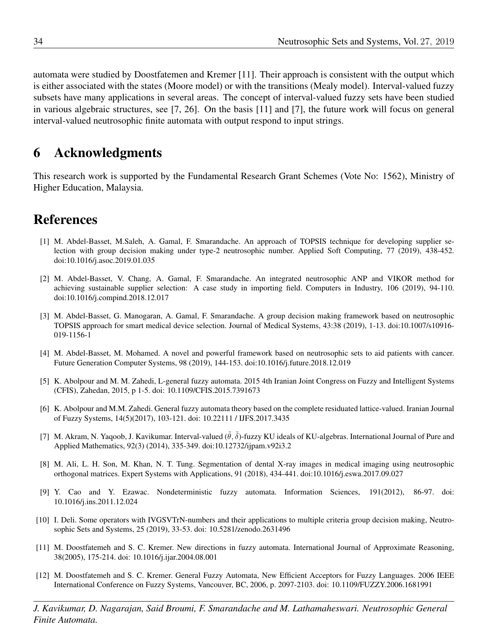automata were studied by Doostfatemen and Kremer [\[11\]](#page-17-1). Their approach is consistent with the output which is either associated with the states (Moore model) or with the transitions (Mealy model). Interval-valued fuzzy subsets have many applications in several areas. The concept of interval-valued fuzzy sets have been studied in various algebraic structures, see [\[7,](#page-17-11) [26\]](#page-18-17). On the basis [\[11\]](#page-17-1) and [\[7\]](#page-17-11), the future work will focus on general interval-valued neutrosophic finite automata with output respond to input strings.

## 6 Acknowledgments

This research work is supported by the Fundamental Research Grant Schemes (Vote No: 1562), Ministry of Higher Education, Malaysia.

## References

- <span id="page-17-5"></span>[1] M. Abdel-Basset, M.Saleh, A. Gamal, F. Smarandache. An approach of TOPSIS technique for developing supplier selection with group decision making under type-2 neutrosophic number. Applied Soft Computing, 77 (2019), 438-452. doi:10.1016/j.asoc.2019.01.035
- <span id="page-17-6"></span>[2] M. Abdel-Basset, V. Chang, A. Gamal, F. Smarandache. An integrated neutrosophic ANP and VIKOR method for achieving sustainable supplier selection: A case study in importing field. Computers in Industry, 106 (2019), 94-110. doi:10.1016/j.compind.2018.12.017
- <span id="page-17-8"></span>[3] M. Abdel-Basset, G. Manogaran, A. Gamal, F. Smarandache. A group decision making framework based on neutrosophic TOPSIS approach for smart medical device selection. Journal of Medical Systems, 43:38 (2019), 1-13. doi:10.1007/s10916- 019-1156-1
- <span id="page-17-9"></span>[4] M. Abdel-Basset, M. Mohamed. A novel and powerful framework based on neutrosophic sets to aid patients with cancer. Future Generation Computer Systems, 98 (2019), 144-153. doi:10.1016/j.future.2018.12.019
- <span id="page-17-3"></span>[5] K. Abolpour and M. M. Zahedi, L-general fuzzy automata. 2015 4th Iranian Joint Congress on Fuzzy and Intelligent Systems (CFIS), Zahedan, 2015, p 1-5. doi: 10.1109/CFIS.2015.7391673
- <span id="page-17-2"></span>[6] K. Abolpour and M.M. Zahedi. General fuzzy automata theory based on the complete residuated lattice-valued. Iranian Journal of Fuzzy Systems, 14(5)(2017), 103-121. doi: 10.22111 / IJFS.2017.3435
- <span id="page-17-11"></span>[7] M. Akram, N. Yaqoob, J. Kavikumar. Interval-valued  $(\tilde{\theta}, \tilde{\delta})$ -fuzzy KU ideals of KU-algebras. International Journal of Pure and Applied Mathematics, 92(3) (2014), 335-349. doi:10.12732/ijpam.v92i3.2
- <span id="page-17-10"></span>[8] M. Ali, L. H. Son, M. Khan, N. T. Tung. Segmentation of dental X-ray images in medical imaging using neutrosophic orthogonal matrices. Expert Systems with Applications, 91 (2018), 434-441. doi:10.1016/j.eswa.2017.09.027
- <span id="page-17-0"></span>[9] Y. Cao and Y. Ezawac. Nondeterministic fuzzy automata. Information Sciences, 191(2012), 86-97. doi: 10.1016/j.ins.2011.12.024
- <span id="page-17-7"></span>[10] I. Deli. Some operators with IVGSVTrN-numbers and their applications to multiple criteria group decision making, Neutrosophic Sets and Systems, 25 (2019), 33-53. doi: 10.5281/zenodo.2631496
- <span id="page-17-1"></span>[11] M. Doostfatemeh and S. C. Kremer. New directions in fuzzy automata. International Journal of Approximate Reasoning, 38(2005), 175-214. doi: 10.1016/j.ijar.2004.08.001
- <span id="page-17-4"></span>[12] M. Doostfatemeh and S. C. Kremer. General Fuzzy Automata, New Efficient Acceptors for Fuzzy Languages. 2006 IEEE International Conference on Fuzzy Systems, Vancouver, BC, 2006, p. 2097-2103. doi: 10.1109/FUZZY.2006.1681991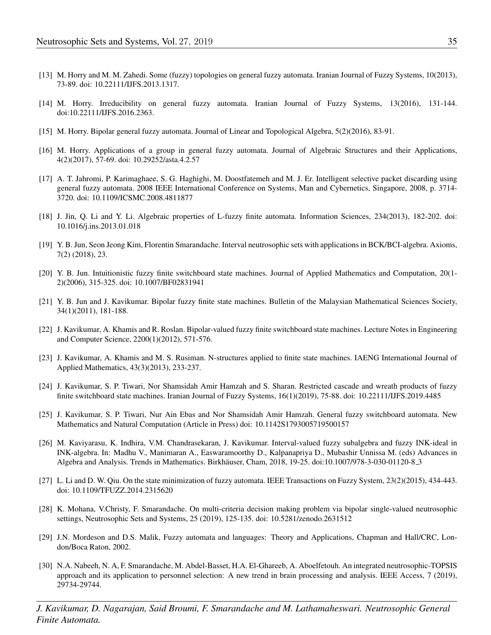- <span id="page-18-9"></span>[13] M. Horry and M. M. Zahedi. Some (fuzzy) topologies on general fuzzy automata. Iranian Journal of Fuzzy Systems, 10(2013), 73-89. doi: 10.22111/IJFS.2013.1317.
- <span id="page-18-10"></span>[14] M. Horry. Irreducibility on general fuzzy automata. Iranian Journal of Fuzzy Systems, 13(2016), 131-144. doi:10.22111/IJFS.2016.2363.
- <span id="page-18-11"></span>[15] M. Horry. Bipolar general fuzzy automata. Journal of Linear and Topological Algebra, 5(2)(2016), 83-91.
- <span id="page-18-12"></span>[16] M. Horry. Applications of a group in general fuzzy automata. Journal of Algebraic Structures and their Applications, 4(2)(2017), 57-69. doi: 10.29252/asta.4.2.57
- <span id="page-18-13"></span>[17] A. T. Jahromi, P. Karimaghaee, S. G. Haghighi, M. Doostfatemeh and M. J. Er. Intelligent selective packet discarding using general fuzzy automata. 2008 IEEE International Conference on Systems, Man and Cybernetics, Singapore, 2008, p. 3714- 3720. doi: 10.1109/ICSMC.2008.4811877
- <span id="page-18-0"></span>[18] J. Jin, Q. Li and Y. Li. Algebraic properties of L-fuzzy finite automata. Information Sciences, 234(2013), 182-202. doi: 10.1016/j.ins.2013.01.018
- <span id="page-18-14"></span>[19] Y. B. Jun, Seon Jeong Kim, Florentin Smarandache. Interval neutrosophic sets with applications in BCK/BCI-algebra. Axioms, 7(2) (2018), 23.
- <span id="page-18-1"></span>[20] Y. B. Jun. Intuitionistic fuzzy finite switchboard state machines. Journal of Applied Mathematics and Computation, 20(1- 2)(2006), 315-325. doi: 10.1007/BF02831941
- <span id="page-18-3"></span>[21] Y. B. Jun and J. Kavikumar. Bipolar fuzzy finite state machines. Bulletin of the Malaysian Mathematical Sciences Society, 34(1)(2011), 181-188.
- <span id="page-18-4"></span>[22] J. Kavikumar, A. Khamis and R. Roslan. Bipolar-valued fuzzy finite switchboard state machines. Lecture Notes in Engineering and Computer Science, 2200(1)(2012), 571-576.
- <span id="page-18-5"></span>[23] J. Kavikumar, A. Khamis and M. S. Rusiman. N-structures applied to finite state machines. IAENG International Journal of Applied Mathematics, 43(3)(2013), 233-237.
- <span id="page-18-6"></span>[24] J. Kavikumar, S. P. Tiwari, Nor Shamsidah Amir Hamzah and S. Sharan. Restricted cascade and wreath products of fuzzy finite switchboard state machines. Iranian Journal of Fuzzy Systems, 16(1)(2019), 75-88. doi: 10.22111/IJFS.2019.4485
- <span id="page-18-8"></span>[25] J. Kavikumar, S. P. Tiwari, Nur Ain Ebas and Nor Shamsidah Amir Hamzah. General fuzzy switchboard automata. New Mathematics and Natural Computation (Article in Press) doi: 10.1142S1793005719500157
- <span id="page-18-17"></span>[26] M. Kaviyarasu, K. Indhira, V.M. Chandrasekaran, J. Kavikumar. Interval-valued fuzzy subalgebra and fuzzy INK-ideal in INK-algebra. In: Madhu V., Manimaran A., Easwaramoorthy D., Kalpanapriya D., Mubashir Unnissa M. (eds) Advances in Algebra and Analysis. Trends in Mathematics. Birkhäuser, Cham, 2018, 19-25. doi:10.1007/978-3-030-01120-8<sub>-3</sub>
- <span id="page-18-2"></span>[27] L. Li and D. W. Qiu. On the state minimization of fuzzy automata. IEEE Transactions on Fuzzy System, 23(2)(2015), 434-443. doi: 10.1109/TFUZZ.2014.2315620
- <span id="page-18-15"></span>[28] K. Mohana, V.Christy, F. Smarandache. On multi-criteria decision making problem via bipolar single-valued neutrosophic settings, Neutrosophic Sets and Systems, 25 (2019), 125-135. doi: 10.5281/zenodo.2631512
- <span id="page-18-7"></span>[29] J.N. Mordeson and D.S. Malik, Fuzzy automata and languages: Theory and Applications, Chapman and Hall/CRC, London/Boca Raton, 2002.
- <span id="page-18-16"></span>[30] N.A. Nabeeh, N. A, F. Smarandache, M. Abdel-Basset, H.A. El-Ghareeb, A. Aboelfetouh. An integrated neutrosophic-TOPSIS approach and its application to personnel selection: A new trend in brain processing and analysis. IEEE Access, 7 (2019), 29734-29744.